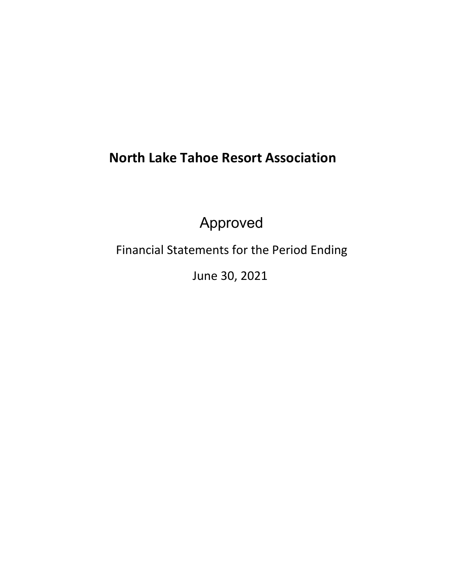# **North Lake Tahoe Resort Association**

Approved

Financial Statements for the Period Ending

June 30, 2021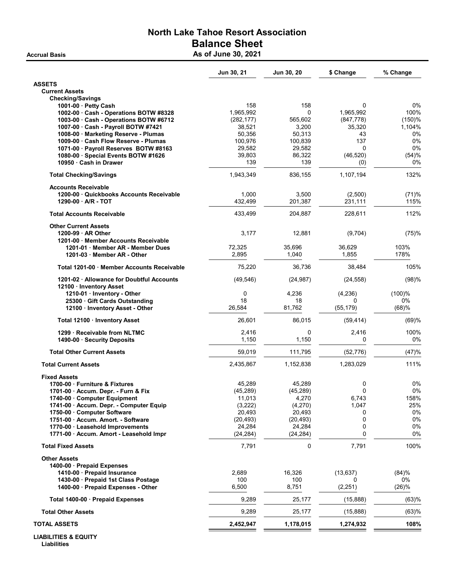## North Lake Tahoe Resort Association Balance Sheet Accrual Basis **Accrual Basis** As of June 30, 2021

|                                                                      | Jun 30, 21          | Jun 30, 20          | \$ Change       | % Change     |
|----------------------------------------------------------------------|---------------------|---------------------|-----------------|--------------|
| <b>ASSETS</b>                                                        |                     |                     |                 |              |
| <b>Current Assets</b>                                                |                     |                     |                 |              |
| <b>Checking/Savings</b><br>1001-00 · Petty Cash                      | 158                 | 158                 | 0               | $0\%$        |
| 1002-00 Cash - Operations BOTW #8328                                 | 1,965,992           | 0                   | 1,965,992       | 100%         |
| 1003-00 · Cash - Operations BOTW #6712                               | (282, 177)          | 565,602             | (847, 778)      | $(150)$ %    |
| 1007-00 · Cash - Payroll BOTW #7421                                  | 38,521              | 3,200               | 35,320          | 1,104%       |
| 1008-00 · Marketing Reserve - Plumas                                 | 50,356              | 50,313              | 43              | 0%           |
| 1009-00 · Cash Flow Reserve - Plumas                                 | 100,976             | 100,839             | 137             | 0%           |
| 1071-00 · Payroll Reserves BOTW #8163                                | 29,582              | 29,582              | $\Omega$        | 0%           |
| 1080-00 · Special Events BOTW #1626                                  | 39,803              | 86,322              | (46, 520)       | (54)%        |
| 10950 Cash in Drawer                                                 | 139                 | 139                 | (0)             | 0%           |
| <b>Total Checking/Savings</b>                                        | 1,943,349           | 836,155             | 1,107,194       | 132%         |
| <b>Accounts Receivable</b>                                           |                     |                     |                 |              |
| 1200-00 Quickbooks Accounts Receivable                               | 1,000               | 3,500               | (2,500)         | (71)%        |
| 1290-00 A/R - TOT                                                    | 432,499             | 201,387             | 231,111         | 115%         |
| <b>Total Accounts Receivable</b>                                     | 433,499             | 204,887             | 228,611         | 112%         |
| <b>Other Current Assets</b>                                          |                     |                     |                 |              |
| 1200-99 AR Other                                                     | 3,177               | 12,881              | (9,704)         | (75)%        |
| 1201-00 Member Accounts Receivable                                   |                     |                     |                 |              |
| 1201-01 Member AR - Member Dues<br>1201-03 Member AR - Other         | 72,325<br>2,895     | 35,696<br>1,040     | 36,629<br>1.855 | 103%<br>178% |
|                                                                      |                     |                     |                 |              |
| Total 1201-00 Member Accounts Receivable                             | 75,220              | 36,736              | 38,484          | 105%         |
| 1201-02 · Allowance for Doubtful Accounts<br>12100 Inventory Asset   | (49, 546)           | (24, 987)           | (24, 558)       | (98)%        |
| 1210-01 · Inventory - Other                                          | $\mathbf 0$         | 4,236               | (4,236)         | $(100)$ %    |
| 25300 Gift Cards Outstanding                                         | 18                  | 18                  | 0               | 0%           |
| 12100 · Inventory Asset - Other                                      | 26,584              | 81,762              | (55, 179)       | (68)%        |
| Total 12100 Inventory Asset                                          | 26,601              | 86,015              | (59, 414)       | (69)%        |
| 1299 Receivable from NLTMC                                           | 2,416               | 0                   | 2,416           | 100%         |
| 1490-00 · Security Deposits                                          | 1,150               | 1,150               | $\Omega$        | 0%           |
| <b>Total Other Current Assets</b>                                    | 59,019              | 111,795             | (52, 776)       | (47)%        |
| <b>Total Current Assets</b>                                          | 2,435,867           | 1,152,838           | 1,283,029       | 111%         |
| <b>Fixed Assets</b>                                                  |                     |                     |                 |              |
| 1700-00 Furniture & Fixtures                                         | 45,289              | 45,289              | 0               | 0%           |
| 1701-00 · Accum. Depr. - Furn & Fix                                  | (45, 289)           | (45, 289)           | 0               | 0%           |
| 1740-00 Computer Equipment                                           | 11,013              | 4,270               | 6,743           | 158%         |
| 1741-00 - Accum. Depr. - Computer Equip                              | (3,222)             | (4,270)             | 1,047           | 25%          |
| 1750-00 Computer Software                                            | 20,493              | 20,493              | 0               | $0\%$        |
| 1751-00 Accum. Amort. - Software<br>1770-00 · Leasehold Improvements | (20, 493)<br>24,284 | (20, 493)<br>24,284 | 0<br>0          | 0%<br>0%     |
| 1771-00 · Accum. Amort - Leasehold Impr                              | (24, 284)           | (24, 284)           | 0               | 0%           |
| <b>Total Fixed Assets</b>                                            | 7,791               | 0                   | 7,791           | 100%         |
| <b>Other Assets</b>                                                  |                     |                     |                 |              |
| 1400-00 Prepaid Expenses                                             |                     |                     |                 |              |
| 1410-00 · Prepaid Insurance                                          | 2,689               | 16,326              | (13, 637)       | (84)%        |
| 1430-00 · Prepaid 1st Class Postage                                  | 100                 | 100                 | 0               | 0%           |
| 1400-00 · Prepaid Expenses - Other                                   | 6,500               | 8,751               | (2, 251)        | (26)%        |
| Total 1400-00 · Prepaid Expenses                                     | 9,289               | 25,177              | (15, 888)       | (63)%        |
| <b>Total Other Assets</b>                                            | 9,289               | 25,177              | (15, 888)       | (63)%        |
| TOTAL ASSETS                                                         | 2,452,947           | 1,178,015           | 1,274,932       | 108%         |
|                                                                      |                     |                     |                 |              |

LIABILITIES & EQUITY **Liabilities**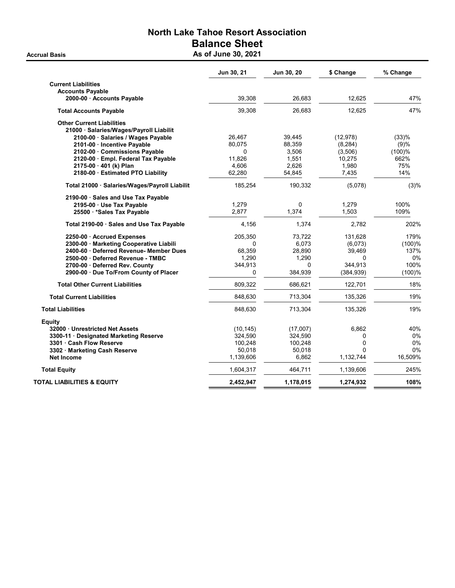## North Lake Tahoe Resort Association Balance Sheet Accrual Basis **Accrual Basis** As of June 30, 2021

|                                               | Jun 30, 21 | Jun 30, 20 | \$ Change  | % Change |
|-----------------------------------------------|------------|------------|------------|----------|
| <b>Current Liabilities</b>                    |            |            |            |          |
| <b>Accounts Payable</b>                       |            |            |            |          |
| 2000-00 · Accounts Payable                    | 39,308     | 26,683     | 12,625     | 47%      |
| <b>Total Accounts Payable</b>                 | 39,308     | 26,683     | 12.625     | 47%      |
| <b>Other Current Liabilities</b>              |            |            |            |          |
| 21000 · Salaries/Wages/Payroll Liabilit       |            |            |            |          |
| 2100-00 · Salaries / Wages Payable            | 26,467     | 39,445     | (12, 978)  | (33)%    |
| 2101-00 · Incentive Payable                   | 80,075     | 88,359     | (8, 284)   | (9)%     |
| 2102-00 Commissions Payable                   | $\Omega$   | 3,506      | (3,506)    | (100)%   |
| 2120-00 · Empl. Federal Tax Payable           | 11,826     | 1,551      | 10,275     | 662%     |
| 2175-00 · 401 (k) Plan                        | 4,606      | 2,626      | 1,980      | 75%      |
| 2180-00 · Estimated PTO Liability             | 62,280     | 54,845     | 7,435      | 14%      |
| Total 21000 · Salaries/Wages/Payroll Liabilit | 185,254    | 190,332    | (5,078)    | (3)%     |
| 2190-00 · Sales and Use Tax Payable           |            |            |            |          |
| 2195-00 · Use Tax Payable                     | 1,279      | 0          | 1,279      | 100%     |
| 25500 *Sales Tax Payable                      | 2,877      | 1,374      | 1,503      | 109%     |
| Total 2190-00 · Sales and Use Tax Payable     | 4,156      | 1,374      | 2,782      | 202%     |
| 2250-00 · Accrued Expenses                    | 205,350    | 73,722     | 131,628    | 179%     |
| 2300-00 · Marketing Cooperative Liabili       | 0          | 6,073      | (6,073)    | (100)%   |
| 2400-60 · Deferred Revenue- Member Dues       | 68,359     | 28,890     | 39,469     | 137%     |
| 2500-00 · Deferred Revenue - TMBC             | 1,290      | 1,290      | $\Omega$   | 0%       |
| 2700-00 · Deferred Rev. County                | 344,913    | 0          | 344,913    | 100%     |
| 2900-00 · Due To/From County of Placer        | 0          | 384,939    | (384, 939) | (100)%   |
| <b>Total Other Current Liabilities</b>        | 809,322    | 686,621    | 122,701    | 18%      |
| <b>Total Current Liabilities</b>              | 848,630    | 713,304    | 135,326    | 19%      |
| <b>Total Liabilities</b>                      | 848,630    | 713,304    | 135,326    | 19%      |
| <b>Equity</b>                                 |            |            |            |          |
| 32000 Unrestricted Net Assets                 | (10, 145)  | (17,007)   | 6,862      | 40%      |
| 3300-11 Designated Marketing Reserve          | 324,590    | 324,590    | 0          | 0%       |
| 3301 · Cash Flow Reserve                      | 100,248    | 100,248    | 0          | 0%       |
| 3302 Marketing Cash Reserve                   | 50,018     | 50,018     | $\Omega$   | 0%       |
| <b>Net Income</b>                             | 1,139,606  | 6,862      | 1,132,744  | 16,509%  |
| <b>Total Equity</b>                           | 1,604,317  | 464,711    | 1,139,606  | 245%     |
| TOTAL LIABILITIES & EQUITY                    | 2,452,947  | 1,178,015  | 1,274,932  | 108%     |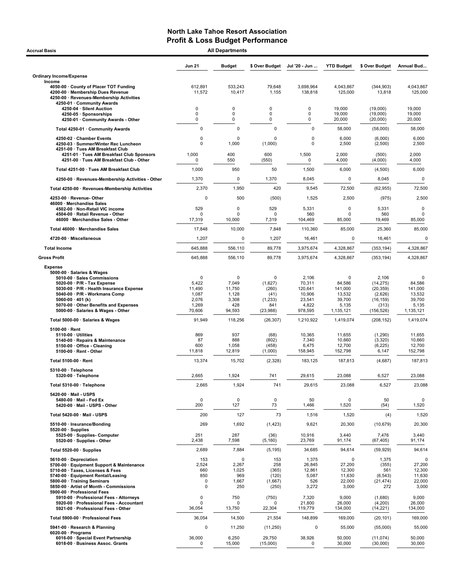| <b>Accrual Basis</b>                                                                                                                                                                                                                                                                |                                                                     | <b>All Departments</b>                                  |                                                                         |                                                                    |                                                                  |                                                                               |                                                                            |
|-------------------------------------------------------------------------------------------------------------------------------------------------------------------------------------------------------------------------------------------------------------------------------------|---------------------------------------------------------------------|---------------------------------------------------------|-------------------------------------------------------------------------|--------------------------------------------------------------------|------------------------------------------------------------------|-------------------------------------------------------------------------------|----------------------------------------------------------------------------|
|                                                                                                                                                                                                                                                                                     | <b>Jun 21</b>                                                       | <b>Budget</b>                                           | \$ Over Budget                                                          | Jul '20 - Jun                                                      | <b>YTD Budget</b>                                                | \$ Over Budget                                                                | Annual Bud                                                                 |
| <b>Ordinary Income/Expense</b>                                                                                                                                                                                                                                                      |                                                                     |                                                         |                                                                         |                                                                    |                                                                  |                                                                               |                                                                            |
| Income<br>4050-00 County of Placer TOT Funding<br>4200-00 · Membership Dues Revenue<br>4250-00 · Revenues-Membership Activities                                                                                                                                                     | 612,891<br>11,572                                                   | 533,243<br>10,417                                       | 79,648<br>1,155                                                         | 3,698,964<br>138,818                                               | 4,043,867<br>125,000                                             | (344.903)<br>13,818                                                           | 4,043,867<br>125,000                                                       |
| 4250-01 · Community Awards<br>4250-04 · Silent Auction<br>4250-05 · Sponsorships<br>4250-01 · Community Awards - Other                                                                                                                                                              | 0<br>0<br>0                                                         | 0<br>0<br>0                                             | 0<br>0<br>0                                                             | 0<br>0<br>0                                                        | 19,000<br>19,000<br>20,000                                       | (19,000)<br>(19,000)<br>(20,000)                                              | 19,000<br>19,000<br>20,000                                                 |
| Total 4250-01 · Community Awards                                                                                                                                                                                                                                                    | 0                                                                   | $\mathbf 0$                                             | $\mathbf 0$                                                             | 0                                                                  | 58,000                                                           | (58,000)                                                                      | 58,000                                                                     |
| 4250-02 · Chamber Events                                                                                                                                                                                                                                                            | 0                                                                   | $\Omega$                                                | $\Omega$                                                                | 0                                                                  | 6,000                                                            | (6,000)                                                                       | 6,000                                                                      |
| 4250-03 · Summer/Winter Rec Luncheon<br>4251-00 · Tues AM Breakfast Club                                                                                                                                                                                                            | $\Omega$                                                            | 1,000                                                   | (1,000)                                                                 | $\Omega$                                                           | 2,500                                                            | (2,500)                                                                       | 2,500                                                                      |
| 4251-01 · Tues AM Breakfast Club Sponsors<br>4251-00 · Tues AM Breakfast Club - Other                                                                                                                                                                                               | 1,000<br>0                                                          | 400<br>550                                              | 600<br>(550)                                                            | 1,500<br>0                                                         | 2,000<br>4,000                                                   | (500)<br>(4,000)                                                              | 2,000<br>4,000                                                             |
| Total 4251-00 · Tues AM Breakfast Club                                                                                                                                                                                                                                              | 1,000                                                               | 950                                                     | 50                                                                      | 1,500                                                              | 6,000                                                            | (4,500)                                                                       | 6,000                                                                      |
| 4250-00 · Revenues-Membership Activities - Other                                                                                                                                                                                                                                    | 1,370                                                               | $\mathbf 0$                                             | 1,370                                                                   | 8,045                                                              | $\mathbf 0$                                                      | 8,045                                                                         | $\mathbf 0$                                                                |
| Total 4250-00 · Revenues-Membership Activities                                                                                                                                                                                                                                      | 2,370                                                               | 1,950                                                   | 420                                                                     | 9,545                                                              | 72,500                                                           | (62, 955)                                                                     | 72,500                                                                     |
| 4253-00 · Revenue-Other                                                                                                                                                                                                                                                             | $\mathbf 0$                                                         | 500                                                     | (500)                                                                   | 1,525                                                              | 2,500                                                            | (975)                                                                         | 2,500                                                                      |
| 46000 · Merchandise Sales<br>4502-00 · Non-Retail VIC income<br>4504-00 · Retail Revenue - Other                                                                                                                                                                                    | 529<br>O                                                            | $\mathbf 0$<br>O                                        | 529<br>n                                                                | 5,331<br>560                                                       | 0<br>$\Omega$                                                    | 5,331<br>560                                                                  | $\mathsf 0$<br>0                                                           |
| 46000 · Merchandise Sales - Other                                                                                                                                                                                                                                                   | 17,319                                                              | 10,000                                                  | 7,319                                                                   | 104,469                                                            | 85,000                                                           | 19,469                                                                        | 85,000                                                                     |
| Total 46000 · Merchandise Sales                                                                                                                                                                                                                                                     | 17,848                                                              | 10,000                                                  | 7,848                                                                   | 110,360                                                            | 85,000                                                           | 25,360                                                                        | 85,000                                                                     |
| 4720-00 · Miscellaneous                                                                                                                                                                                                                                                             | 1,207                                                               | 0                                                       | 1,207                                                                   | 16,461                                                             | 0                                                                | 16,461                                                                        | 0                                                                          |
| <b>Total Income</b>                                                                                                                                                                                                                                                                 | 645,888                                                             | 556,110                                                 | 89,778                                                                  | 3,975,674                                                          | 4,328,867                                                        | (353, 194)                                                                    | 4,328,867                                                                  |
| <b>Gross Profit</b><br><b>Expense</b>                                                                                                                                                                                                                                               | 645,888                                                             | 556,110                                                 | 89,778                                                                  | 3,975,674                                                          | 4,328,867                                                        | (353, 194)                                                                    | 4,328,867                                                                  |
| 5000-00 · Salaries & Wages<br>5010-00 · Sales Commissions<br>5020-00 $\cdot$ P/R - Tax Expense<br>5030 00 · P/R - Health Insurance Expense<br>5040-00 · P/R - Workmans Comp<br>5060-00 $\cdot$ 401 (k)<br>5070-00 Other Benefits and Expenses<br>5000-00 · Salaries & Wages - Other | $\mathbf 0$<br>5,422<br>11,490<br>1,087<br>2,076<br>1,269<br>70,606 | 0<br>7,049<br>11,750<br>1,128<br>3,308<br>428<br>94,593 | $\mathbf 0$<br>(1,627)<br>(260)<br>(41)<br>(1, 233)<br>841<br>(23, 988) | 2,106<br>70,311<br>120,641<br>10,906<br>23,541<br>4,822<br>978,595 | 0<br>84,586<br>141,000<br>13,532<br>39,700<br>5,135<br>1,135,121 | 2,106<br>(14, 275)<br>(20, 359)<br>(2,626)<br>(16, 159)<br>(313)<br>(156,526) | $\mathbf 0$<br>84,586<br>141,000<br>13,532<br>39,700<br>5,135<br>1,135,121 |
| Total 5000-00 · Salaries & Wages                                                                                                                                                                                                                                                    | 91,949                                                              | 118,256                                                 | (26, 307)                                                               | 1,210,922                                                          | 1,419,074                                                        | (208, 152)                                                                    | 1,419,074                                                                  |
| $5100-00 \cdot$ Rent<br>5110-00 · Utilities<br>5140-00 · Repairs & Maintenance<br>5150-00 · Office - Cleaning<br>5100-00 · Rent - Other                                                                                                                                             | 869<br>87<br>600<br>11,818                                          | 937<br>888<br>1,058<br>12,819                           | (68)<br>(802)<br>(458)<br>(1,000)                                       | 10,365<br>7,340<br>6,475<br>158,945                                | 11,655<br>10,660<br>12,700<br>152,798                            | (1,290)<br>(3,320)<br>(6, 225)<br>6,147                                       | 11,655<br>10,660<br>12,700<br>152,798                                      |
| Total 5100-00 · Rent                                                                                                                                                                                                                                                                | 13,374                                                              | 15,702                                                  | (2,328)                                                                 | 183.125                                                            | 187,813                                                          | (4,687)                                                                       | 187,813                                                                    |
| 5310-00 · Telephone<br>5320-00 · Telephone                                                                                                                                                                                                                                          | 2,665                                                               | 1,924                                                   | 741                                                                     | 29,615                                                             | 23,088                                                           | 6,527                                                                         | 23,088                                                                     |
| Total 5310-00 · Telephone                                                                                                                                                                                                                                                           | 2,665                                                               | 1,924                                                   | 741                                                                     | 29,615                                                             | 23,088                                                           | 6,527                                                                         | 23,088                                                                     |
| 5420-00 · Mail - USPS<br>5480-00 · Mail - Fed Ex<br>5420-00 · Mail - USPS - Other                                                                                                                                                                                                   | 0<br>200                                                            | $\pmb{0}$<br>127                                        | $\pmb{0}$<br>73                                                         | 50<br>1,466                                                        | $\mathbf 0$<br>1,520                                             | 50<br>(54)                                                                    | $\mathbf 0$<br>1,520                                                       |
| Total 5420-00 · Mail - USPS                                                                                                                                                                                                                                                         | 200                                                                 | 127                                                     | 73                                                                      | 1,516                                                              | 1,520                                                            | (4)                                                                           | 1,520                                                                      |
| 5510-00 · Insurance/Bonding<br>$5520-00 \cdot$ Supplies                                                                                                                                                                                                                             | 269                                                                 | 1,692                                                   | (1, 423)                                                                | 9,621                                                              | 20,300                                                           | (10, 679)                                                                     | 20,300                                                                     |
| 5525-00 · Supplies- Computer<br>5520-00 · Supplies - Other                                                                                                                                                                                                                          | 251<br>2,438                                                        | 287<br>7,598                                            | (36)<br>(5, 160)                                                        | 10,916<br>23,769                                                   | 3,440<br>91,174                                                  | 7,476<br>(67, 405)                                                            | 3,440<br>91,174                                                            |
| Total 5520-00 · Supplies                                                                                                                                                                                                                                                            | 2,689                                                               | 7,884                                                   | (5, 195)                                                                | 34,685                                                             | 94,614                                                           | (59, 929)                                                                     | 94,614                                                                     |
| 5610-00 · Depreciation<br>5700-00 · Equipment Support & Maintenance<br>5710-00 · Taxes, Licenses & Fees<br>5740-00 · Equipment Rental/Leasing<br>5800-00 · Training Seminars<br>5850-00 · Artist of Month - Commissions<br>5900-00 · Professional Fees                              | 153<br>2,524<br>660<br>850<br>0<br>0                                | 0<br>2,267<br>1,025<br>969<br>1,667<br>250              | 153<br>258<br>(365)<br>(120)<br>(1,667)<br>(250)                        | 1,375<br>26,845<br>12,861<br>5,087<br>526<br>3,272                 | 0<br>27,200<br>12,300<br>11,630<br>22,000<br>3,000               | 1,375<br>(355)<br>561<br>(6, 543)<br>(21, 474)<br>272                         | 0<br>27,200<br>12,300<br>11,630<br>22,000<br>3,000                         |
| 5910-00 · Professional Fees - Attorneys<br>5920-00 · Professional Fees - Accountant<br>5921-00 · Professional Fees - Other                                                                                                                                                          | $\overline{0}$<br>$\Omega$<br>36,054                                | 750<br>0<br>13,750                                      | (750)<br>n<br>22,304                                                    | 7,320<br>21,800<br>119,779                                         | 9,000<br>26,000<br>134,000                                       | (1,680)<br>(4,200)<br>(14, 221)                                               | 9,000<br>26,000<br>134,000                                                 |
| Total 5900-00 · Professional Fees                                                                                                                                                                                                                                                   | 36,054                                                              | 14,500                                                  | 21,554                                                                  | 148,899                                                            | 169,000                                                          | (20, 101)                                                                     | 169,000                                                                    |
| 5941-00 · Research & Planning                                                                                                                                                                                                                                                       | 0                                                                   | 11,250                                                  | (11, 250)                                                               | 0                                                                  | 55,000                                                           | (55,000)                                                                      | 55,000                                                                     |
| $6020-00 \cdot$ Programs<br>6016-00 · Special Event Partnership<br>6018-00 · Business Assoc. Grants                                                                                                                                                                                 | 36,000<br>$\Omega$                                                  | 6,250<br>15,000                                         | 29,750<br>(15,000)                                                      | 38,926<br>0                                                        | 50,000<br>30,000                                                 | (11, 074)<br>(30,000)                                                         | 50,000<br>30,000                                                           |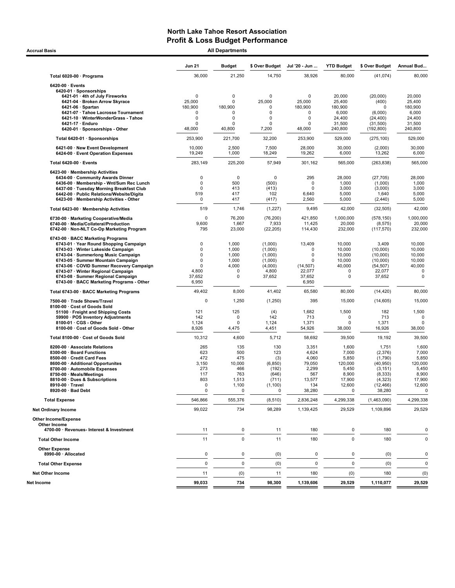| <b>All Departments</b><br><b>Accrual Basis</b>                                       |                       |                            |                       |                       |                   |                      |                  |  |
|--------------------------------------------------------------------------------------|-----------------------|----------------------------|-----------------------|-----------------------|-------------------|----------------------|------------------|--|
|                                                                                      | <b>Jun 21</b>         | <b>Budget</b>              | \$ Over Budget        | Jul '20 - Jun         | <b>YTD Budget</b> | \$ Over Budget       | Annual Bud       |  |
| Total 6020-00 · Programs                                                             | 36,000                | 21,250                     | 14,750                | 38,926                | 80,000            | (41, 074)            | 80,000           |  |
| $6420-00 \cdot$ Events                                                               |                       |                            |                       |                       |                   |                      |                  |  |
| 6420-01 · Sponsorships                                                               |                       |                            |                       |                       |                   |                      |                  |  |
| 6421-01 · 4th of July Fireworks<br>6421-04 · Broken Arrow Skyrace                    | $\mathbf 0$<br>25,000 | $\mathbf 0$<br>$\mathbf 0$ | $\mathbf 0$<br>25,000 | $\mathbf 0$<br>25,000 | 20,000<br>25,400  | (20,000)             | 20.000<br>25,400 |  |
| 6421-06 $\cdot$ Spartan                                                              | 180,900               | 180,900                    | $\mathbf 0$           | 180,900               | 180,900           | (400)<br>$\Omega$    | 180,900          |  |
| 6421-07 · Tahoe Lacrosse Tournament                                                  | $\mathbf 0$           | $\mathbf 0$                | 0                     | 0                     | 6,000             | (6,000)              | 6,000            |  |
| 6421-10 · WinterWonderGrass - Tahoe                                                  | 0                     | 0                          | 0                     | $\mathbf 0$           | 24,400            | (24, 400)            | 24,400           |  |
| 6421-17 · Enduro                                                                     | $\Omega$              | $\Omega$                   | $\Omega$              | 0                     | 31,500            | (31,500)             | 31,500           |  |
| 6420-01 · Sponsorships - Other                                                       | 48,000                | 40,800                     | 7,200                 | 48,000                | 240,800           | (192, 800)           | 240,800          |  |
| Total 6420-01 · Sponsorships                                                         | 253,900               | 221,700                    | 32,200                | 253,900               | 529,000           | (275, 100)           | 529.000          |  |
| 6421-00 · New Event Development<br>6424-00 · Event Operation Expenses                | 10,000<br>19,249      | 2,500<br>1,000             | 7,500<br>18,249       | 28,000<br>19,262      | 30,000<br>6,000   | (2,000)<br>13,262    | 30,000<br>6,000  |  |
| Total 6420-00 · Events                                                               | 283,149               | 225,200                    | 57,949                | 301,162               | 565,000           | (263, 838)           | 565,000          |  |
| 6423-00 · Membership Activities                                                      |                       |                            |                       |                       |                   |                      |                  |  |
| 6434-00 Community Awards Dinner                                                      | 0                     | 0                          | 0                     | 295                   | 28,000            | (27, 705)            | 28,000           |  |
| 6436-00 · Membership - Wnt/Sum Rec Lunch                                             | 0                     | 500                        | (500)                 | $\Omega$              | 1,000             | (1,000)              | 1,000            |  |
| 6437-00 · Tuesday Morning Breakfast Club                                             | $\mathbf 0$<br>519    | 413<br>417                 | (413)<br>102          | $\Omega$<br>6,640     | 3,000<br>5,000    | (3,000)              | 3,000            |  |
| 6442-00 · Public Relations/Website/Digita<br>6423-00 · Membership Activities - Other | 0                     | 417                        | (417)                 | 2,560                 | 5,000             | 1,640<br>(2, 440)    | 5,000<br>5,000   |  |
| Total 6423-00 · Membership Activities                                                | 519                   | 1,746                      | (1,227)               | 9,495                 | 42,000            | (32, 505)            | 42,000           |  |
| 6730-00 · Marketing Cooperative/Media                                                | $\mathbf 0$           | 76,200                     | (76, 200)             | 421,850               | 1,000,000         | (578, 150)           | 1,000,000        |  |
| 6740-00 · Media/Collateral/Production                                                | 9,600                 | 1,667                      | 7,933                 | 11,425                | 20,000            | (8, 575)             | 20,000           |  |
| 6742-00 · Non-NLT Co-Op Marketing Program                                            | 795                   | 23,000                     | (22, 205)             | 114,430               | 232,000           | (117, 570)           | 232,000          |  |
| 6743-00 · BACC Marketing Programs                                                    |                       |                            |                       |                       |                   |                      |                  |  |
| 6743-01 · Year Round Shopping Campaign                                               | 0                     | 1,000                      | (1,000)               | 13,409                | 10,000            | 3,409                | 10,000           |  |
| 6743-03 · Winter Lakeside Campaign                                                   | 0                     | 1,000                      | (1,000)               | 0                     | 10,000            | (10,000)             | 10,000           |  |
| 6743-04 · Summerlong Music Campaign                                                  | $\mathbf 0$           | 1,000                      | (1,000)               | 0                     | 10,000            | (10,000)             | 10,000           |  |
| 6743-05 · Summer Mountain Campaign                                                   | 0<br>$\mathbf 0$      | 1,000                      | (1,000)               | $\Omega$              | 10,000            | (10,000)             | 10,000           |  |
| 6743-06 · COVID Summer Recovery Campaign<br>6743-07 · Winter Regional Campaign       | 4,800                 | 4,000<br>0                 | (4,000)<br>4,800      | (14, 507)<br>22,077   | 40,000<br>0       | (54, 507)<br>22,077  | 40,000<br>0      |  |
| 6743-08 · Summer Regional Campaign                                                   | 37,652                | 0                          | 37,652                | 37,652                | 0                 | 37,652               | 0                |  |
| 6743-00 · BACC Marketing Programs - Other                                            | 6,950                 |                            |                       | 6,950                 |                   |                      |                  |  |
| Total 6743-00 · BACC Marketing Programs                                              | 49,402                | 8,000                      | 41,402                | 65,580                | 80,000            | (14, 420)            | 80,000           |  |
| 7500-00 · Trade Shows/Travel                                                         | 0                     | 1,250                      | (1,250)               | 395                   | 15,000            | (14, 605)            | 15,000           |  |
| 8100-00 · Cost of Goods Sold<br>51100 · Freight and Shipping Costs                   | 121                   | 125                        | (4)                   | 1,682                 | 1,500             | 182                  | 1,500            |  |
| 59900 · POS Inventory Adjustments                                                    | 142                   | $\mathbf 0$                | 142                   | 713                   | 0                 | 713                  | 0                |  |
| 8100-01 · CGS - Other                                                                | 1,124                 | 0                          | 1,124                 | 1,371                 | 0                 | 1,371                | 0                |  |
| 8100-00 · Cost of Goods Sold - Other                                                 | 8,926                 | 4,475                      | 4,451                 | 54,926                | 38,000            | 16,926               | 38,000           |  |
| Total 8100-00 · Cost of Goods Sold                                                   | 10,312                | 4,600                      | 5,712                 | 58,692                | 39,500            | 19,192               | 39,500           |  |
| 8200-00 · Associate Relations                                                        | 265                   | 135                        | 130                   | 3,351                 | 1,600             | 1,751                | 1,600            |  |
| 8300-00 · Board Functions                                                            | 623                   | 500                        | 123                   | 4,624                 | 7,000             | (2,376)              | 7,000            |  |
| 8500-00 · Credit Card Fees                                                           | 472                   | 475                        | (3)                   | 4,060                 | 5,850             | (1,790)              | 5,850            |  |
| 8600-00 · Additional Opportunites                                                    | 3,150                 | 10,000                     | (6, 850)              | 79,050                | 120,000           | (40, 950)            | 120,000          |  |
| 8700-00 · Automobile Expenses<br>8750-00 · Meals/Meetings                            | 273<br>117            | 466<br>763                 | (192)<br>(646)        | 2,299<br>567          | 5,450<br>8,900    | (3, 151)<br>(8, 333) | 5,450<br>8,900   |  |
| 8810-00 · Dues & Subscriptions                                                       | 803                   | 1,513                      |                       | 13,577                | 17,900            | (4,323)              | 17,900           |  |
| 8910-00 · Travel                                                                     | 0                     | 1,100                      | (711)<br>(1, 100)     | 134                   | 12,600            | (12, 466)            | 12,600           |  |
| 8920-00 · Bad Debt                                                                   | $\mathbf 0$           | 0                          | 0                     | 38,280                | 0                 | 38,280               | 0                |  |
| <b>Total Expense</b>                                                                 | 546,866               | 555,376                    | (8, 510)              | 2,836,248             | 4,299,338         | (1,463,090)          | 4,299,338        |  |
| <b>Net Ordinary Income</b>                                                           | 99,022                | 734                        | 98,289                | 1,139,425             | 29,529            | 1,109,896            | 29,529           |  |
| Other Income/Expense                                                                 |                       |                            |                       |                       |                   |                      |                  |  |
| Other Income<br>4700-00 · Revenues- Interest & Investment                            | 11                    | 0                          | 11                    | 180                   | 0                 | 180                  | 0                |  |
| <b>Total Other Income</b>                                                            | 11                    | $\mathbf 0$                | 11                    | 180                   | $\mathbf 0$       | 180                  | 0                |  |
| <b>Other Expense</b>                                                                 |                       |                            |                       |                       |                   |                      |                  |  |
| 8990-00 · Allocated                                                                  | $\pmb{0}$             | 0                          | (0)                   | 0                     | 0                 | (0)                  | 0                |  |
| <b>Total Other Expense</b>                                                           | $\pmb{0}$             | $\pmb{0}$                  | (0)                   | 0                     | $\mathbf 0$       | (0)                  | 0                |  |
| <b>Net Other Income</b>                                                              | 11                    | (0)                        | 11                    | 180                   | (0)               | 180                  | (0)              |  |
| Net Income                                                                           | 99,033                | 734                        | 98,300                | 1,139,606             | 29,529            | 1,110,077            | 29,529           |  |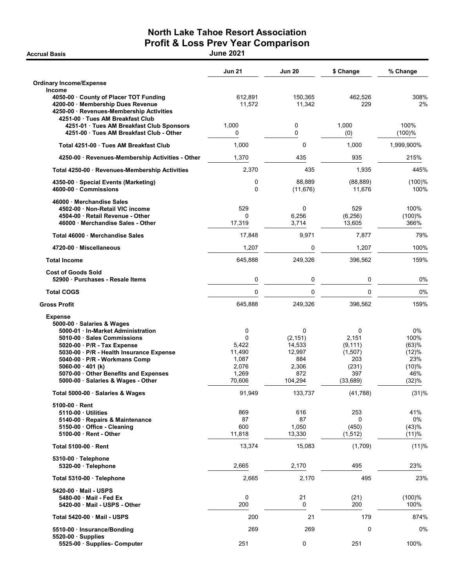## North Lake Tahoe Resort Association Profit & Loss Prev Year Comparison Accrual Basis June 2021

|                                                                                                                                                                                                                                                                                     | <b>Jun 21</b>                                                  | <b>Jun 20</b>                                                                 | \$ Change                                                             | % Change                                                     |
|-------------------------------------------------------------------------------------------------------------------------------------------------------------------------------------------------------------------------------------------------------------------------------------|----------------------------------------------------------------|-------------------------------------------------------------------------------|-----------------------------------------------------------------------|--------------------------------------------------------------|
| <b>Ordinary Income/Expense</b>                                                                                                                                                                                                                                                      |                                                                |                                                                               |                                                                       |                                                              |
| Income<br>4050-00 County of Placer TOT Funding<br>4200-00 Membership Dues Revenue<br>4250-00 · Revenues-Membership Activities<br>4251-00 Tues AM Breakfast Club                                                                                                                     | 612,891<br>11.572                                              | 150,365<br>11,342                                                             | 462,526<br>229                                                        | 308%<br>2%                                                   |
| 4251-01 · Tues AM Breakfast Club Sponsors<br>4251-00 Tues AM Breakfast Club - Other                                                                                                                                                                                                 | 1,000<br>0                                                     | 0<br>0                                                                        | 1,000<br>(0)                                                          | 100%<br>(100)%                                               |
| Total 4251-00 Tues AM Breakfast Club                                                                                                                                                                                                                                                | 1,000                                                          | 0                                                                             | 1,000                                                                 | 1,999,900%                                                   |
| 4250-00 · Revenues-Membership Activities - Other                                                                                                                                                                                                                                    | 1,370                                                          | 435                                                                           | 935                                                                   | 215%                                                         |
| Total 4250-00 · Revenues-Membership Activities                                                                                                                                                                                                                                      | 2,370                                                          | 435                                                                           | 1,935                                                                 | 445%                                                         |
| 4350-00 Special Events (Marketing)<br>4600-00 Commissions                                                                                                                                                                                                                           | 0<br>0                                                         | 88,889<br>(11, 676)                                                           | (88, 889)<br>11,676                                                   | (100)%<br>100%                                               |
| 46000 Merchandise Sales<br>4502-00 Non-Retail VIC income<br>4504-00 Retail Revenue - Other<br>46000 Merchandise Sales - Other                                                                                                                                                       | 529<br>0<br>17,319                                             | 0<br>6,256<br>3,714                                                           | 529<br>(6, 256)<br>13,605                                             | 100%<br>(100)%<br>366%                                       |
| Total 46000 Merchandise Sales                                                                                                                                                                                                                                                       | 17,848                                                         | 9,971                                                                         | 7,877                                                                 | 79%                                                          |
| 4720-00 Miscellaneous                                                                                                                                                                                                                                                               | 1,207                                                          | 0                                                                             | 1,207                                                                 | 100%                                                         |
| <b>Total Income</b>                                                                                                                                                                                                                                                                 | 645,888                                                        | 249,326                                                                       | 396,562                                                               | 159%                                                         |
| <b>Cost of Goods Sold</b><br>52900 Purchases - Resale Items                                                                                                                                                                                                                         | 0                                                              | 0                                                                             | $\mathbf 0$                                                           | 0%                                                           |
| <b>Total COGS</b>                                                                                                                                                                                                                                                                   | $\mathbf 0$                                                    | $\mathbf 0$                                                                   | $\mathbf 0$                                                           | 0%                                                           |
| <b>Gross Profit</b>                                                                                                                                                                                                                                                                 | 645,888                                                        | 249,326                                                                       | 396,562                                                               | 159%                                                         |
| <b>Expense</b><br>5000-00 · Salaries & Wages                                                                                                                                                                                                                                        |                                                                |                                                                               |                                                                       |                                                              |
| 5000-01 · In-Market Administration<br>5010-00 Sales Commissions<br>5020-00 · P/R - Tax Expense<br>5030-00 · P/R - Health Insurance Expense<br>5040-00 · P/R - Workmans Comp<br>5060-00 $\cdot$ 401 (k)<br>5070-00 Other Benefits and Expenses<br>5000-00 · Salaries & Wages - Other | 0<br>0<br>5,422<br>11,490<br>1,087<br>2,076<br>1,269<br>70,606 | $\mathbf 0$<br>(2, 151)<br>14,533<br>12,997<br>884<br>2,306<br>872<br>104,294 | 0<br>2,151<br>(9, 111)<br>(1,507)<br>203<br>(231)<br>397<br>(33, 689) | 0%<br>100%<br>(63)%<br>(12)%<br>23%<br>(10)%<br>46%<br>(32)% |
| Total 5000-00 · Salaries & Wages                                                                                                                                                                                                                                                    | 91,949                                                         | 133,737                                                                       | (41, 788)                                                             | (31)%                                                        |
| 5100-00 Rent<br>5110-00 · Utilities<br>5140-00 · Repairs & Maintenance<br>5150-00 Office - Cleaning<br>5100-00 · Rent - Other                                                                                                                                                       | 869<br>87<br>600<br>11,818                                     | 616<br>87<br>1,050<br>13,330                                                  | 253<br>0<br>(450)<br>(1, 512)                                         | 41%<br>0%<br>(43)%<br>(11)%                                  |
| Total 5100-00 · Rent                                                                                                                                                                                                                                                                | 13,374                                                         | 15,083                                                                        | (1,709)                                                               | (11)%                                                        |
| 5310-00 · Telephone<br>5320-00 · Telephone                                                                                                                                                                                                                                          | 2,665                                                          | 2,170                                                                         | 495                                                                   | 23%                                                          |
| Total 5310-00 · Telephone                                                                                                                                                                                                                                                           | 2,665                                                          | 2,170                                                                         | 495                                                                   | 23%                                                          |
| 5420-00 Mail - USPS<br>5480-00 · Mail - Fed Ex<br>5420-00 Mail - USPS - Other                                                                                                                                                                                                       | 0<br>200                                                       | 21<br>0                                                                       | (21)<br>200                                                           | (100)%<br>100%                                               |
| Total 5420-00 Mail - USPS                                                                                                                                                                                                                                                           | 200                                                            | 21                                                                            | 179                                                                   | 874%                                                         |
| 5510-00 · Insurance/Bonding<br>$5520-00$ Supplies                                                                                                                                                                                                                                   | 269                                                            | 269                                                                           | 0                                                                     | 0%                                                           |
| 5525-00 · Supplies- Computer                                                                                                                                                                                                                                                        | 251                                                            | 0                                                                             | 251                                                                   | 100%                                                         |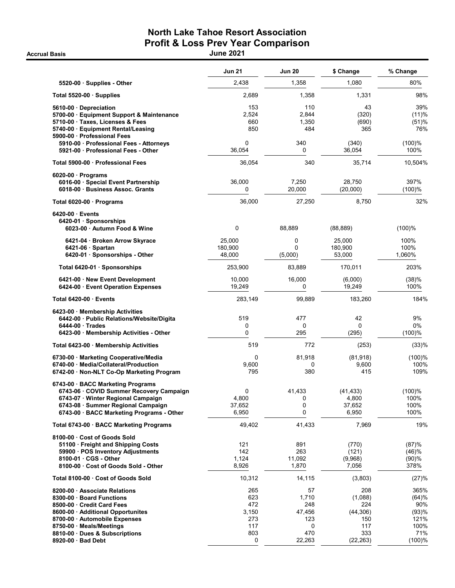## North Lake Tahoe Resort Association Profit & Loss Prev Year Comparison Accrual Basis June 2021

|                                                                                                                                                                                                        | <b>Jun 21</b>                            | <b>Jun 20</b>                            | \$ Change                                       | % Change                                      |
|--------------------------------------------------------------------------------------------------------------------------------------------------------------------------------------------------------|------------------------------------------|------------------------------------------|-------------------------------------------------|-----------------------------------------------|
| 5520-00 · Supplies - Other                                                                                                                                                                             | 2,438                                    | 1,358                                    | 1,080                                           | 80%                                           |
| Total 5520-00 Supplies                                                                                                                                                                                 | 2,689                                    | 1,358                                    | 1,331                                           | 98%                                           |
| 5610-00 Depreciation<br>5700-00 · Equipment Support & Maintenance<br>5710-00 Taxes, Licenses & Fees<br>5740-00 · Equipment Rental/Leasing<br>5900-00 Professional Fees                                 | 153<br>2,524<br>660<br>850               | 110<br>2,844<br>1,350<br>484             | 43<br>(320)<br>(690)<br>365                     | 39%<br>(11)%<br>(51)%<br>76%                  |
| 5910-00 · Professional Fees - Attorneys<br>5921-00 Professional Fees - Other                                                                                                                           | 0<br>36,054                              | 340<br>0                                 | (340)<br>36.054                                 | (100)%<br>100%                                |
| Total 5900-00 · Professional Fees                                                                                                                                                                      | 36,054                                   | 340                                      | 35,714                                          | 10,504%                                       |
| $6020-00$ · Programs<br>6016-00 · Special Event Partnership<br>6018-00 Business Assoc. Grants                                                                                                          | 36,000<br>0                              | 7,250<br>20,000                          | 28,750<br>(20,000)                              | 397%<br>(100)%                                |
| Total 6020-00 · Programs                                                                                                                                                                               | 36,000                                   | 27,250                                   | 8,750                                           | 32%                                           |
| 6420-00 Events<br>6420-01 Sponsorships<br>6023-00 · Autumn Food & Wine                                                                                                                                 | 0                                        | 88,889                                   | (88, 889)                                       | (100)%                                        |
| 6421-04 · Broken Arrow Skyrace<br>6421-06 · Spartan<br>6420-01 · Sponsorships - Other                                                                                                                  | 25,000<br>180,900<br>48.000              | 0<br>0<br>(5,000)                        | 25,000<br>180,900<br>53,000                     | 100%<br>100%<br>1,060%                        |
| Total 6420-01 · Sponsorships                                                                                                                                                                           | 253,900                                  | 83,889                                   | 170,011                                         | 203%                                          |
| 6421-00 New Event Development<br>6424-00 Event Operation Expenses                                                                                                                                      | 10,000<br>19,249                         | 16,000<br>0                              | (6,000)<br>19,249                               | (38)%<br>100%                                 |
| Total 6420-00 Events                                                                                                                                                                                   | 283,149                                  | 99,889                                   | 183,260                                         | 184%                                          |
| 6423-00 · Membership Activities<br>6442-00 · Public Relations/Website/Digita<br>$6444-00$ Trades<br>6423-00 Membership Activities - Other                                                              | 519<br>0<br>0                            | 477<br>0<br>295                          | 42<br>0<br>(295)                                | 9%<br>0%<br>$(100)$ %                         |
| Total 6423-00 Membership Activities                                                                                                                                                                    | 519                                      | 772                                      | (253)                                           | (33)%                                         |
| 6730-00 · Marketing Cooperative/Media<br>6740-00 · Media/Collateral/Production<br>6742-00 · Non-NLT Co-Op Marketing Program                                                                            | 0<br>9,600<br>795                        | 81,918<br>0<br>380                       | (81,918)<br>9,600<br>415                        | (100)%<br>100%<br>109%                        |
| 6743-00 · BACC Marketing Programs<br>6743-06 · COVID Summer Recovery Campaign<br>6743-07 · Winter Regional Campaign<br>6743-08 · Summer Regional Campaign<br>6743-00 · BACC Marketing Programs - Other | 0<br>4,800<br>37,652<br>6,950            | 41,433<br>0<br>0<br>0                    | (41, 433)<br>4,800<br>37,652<br>6,950           | (100)%<br>100%<br>100%<br>100%                |
| Total 6743-00 · BACC Marketing Programs                                                                                                                                                                | 49,402                                   | 41,433                                   | 7,969                                           | 19%                                           |
| 8100-00 Cost of Goods Sold<br>51100 · Freight and Shipping Costs<br>59900 · POS Inventory Adjustments<br>8100-01 CGS - Other<br>8100-00 Cost of Goods Sold - Other                                     | 121<br>142<br>1,124<br>8,926             | 891<br>263<br>11,092<br>1,870            | (770)<br>(121)<br>(9,968)<br>7,056              | (87)%<br>(46)%<br>(90)%<br>378%               |
| Total 8100-00 Cost of Goods Sold                                                                                                                                                                       | 10,312                                   | 14,115                                   | (3,803)                                         | (27)%                                         |
| 8200-00 Associate Relations<br>8300-00 · Board Functions<br>8500-00 Credit Card Fees<br>8600-00 · Additional Opportunites<br>8700-00 Automobile Expenses<br>8750-00 Meals/Meetings                     | 265<br>623<br>472<br>3,150<br>273<br>117 | 57<br>1,710<br>248<br>47,456<br>123<br>0 | 208<br>(1,088)<br>224<br>(44,306)<br>150<br>117 | 365%<br>(64)%<br>90%<br>(93)%<br>121%<br>100% |
| 8810-00 Dues & Subscriptions<br>8920-00 · Bad Debt                                                                                                                                                     | 803<br>0                                 | 470<br>22,263                            | 333<br>(22, 263)                                | 71%<br>(100)%                                 |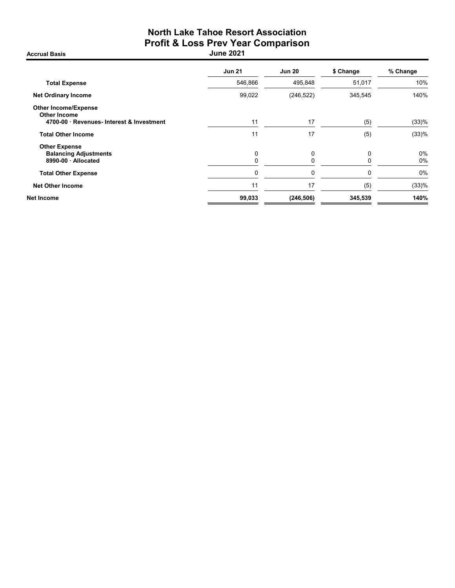## North Lake Tahoe Resort Association Profit & Loss Prev Year Comparison Accrual Basis June 2021

| <b>Jun 21</b> | <b>Jun 20</b> | \$ Change | % Change    |
|---------------|---------------|-----------|-------------|
| 546,866       | 495,848       | 51,017    | 10%         |
| 99,022        | (246, 522)    | 345,545   | 140%        |
| 11            | 17            | (5)       | (33)%       |
| 11            | 17            | (5)       | (33)%       |
| 0<br>0        | 0             | $\Omega$  | $0\%$<br>0% |
| $\mathbf 0$   | 0             | 0         | 0%          |
| 11            | 17            | (5)       | (33)%       |
| 99,033        | (246, 506)    | 345,539   | 140%        |
|               |               |           |             |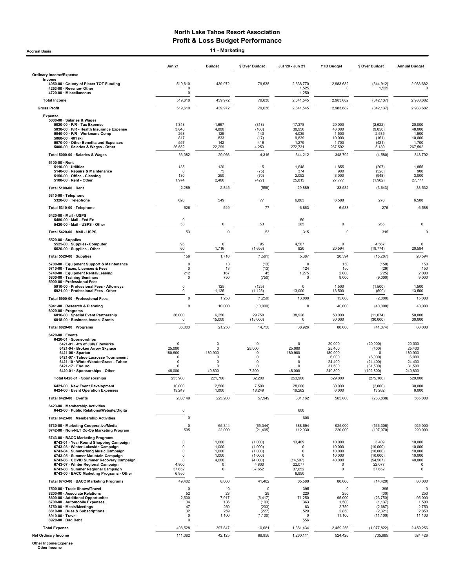Accrual Basis **11 - Marketing** 

|                                                                                                                                                                                                                                                                                                                                                                     | <b>Jun 21</b>                                                                              | <b>Budget</b>                                            | \$ Over Budget                                                         | Jul '20 - Jun 21                                                                   | <b>YTD Budget</b>                                                 | \$ Over Budget                                                             | <b>Annual Budget</b>                                           |
|---------------------------------------------------------------------------------------------------------------------------------------------------------------------------------------------------------------------------------------------------------------------------------------------------------------------------------------------------------------------|--------------------------------------------------------------------------------------------|----------------------------------------------------------|------------------------------------------------------------------------|------------------------------------------------------------------------------------|-------------------------------------------------------------------|----------------------------------------------------------------------------|----------------------------------------------------------------|
| <b>Ordinary Income/Expense</b><br>Income                                                                                                                                                                                                                                                                                                                            |                                                                                            |                                                          |                                                                        |                                                                                    |                                                                   |                                                                            |                                                                |
| 4050-00 · County of Placer TOT Funding<br>4253-00 · Revenue- Other<br>4720-00 · Miscellaneous                                                                                                                                                                                                                                                                       | 519,610<br>0<br>$\mathbf 0$                                                                | 439,972                                                  | 79,638                                                                 | 2,638,770<br>1,525<br>1,250                                                        | 2,983,682<br>0                                                    | (344, 912)<br>1,525                                                        | 2,983,682<br>0                                                 |
| <b>Total Income</b>                                                                                                                                                                                                                                                                                                                                                 | 519,610                                                                                    | 439,972                                                  | 79,638                                                                 | 2,641,545                                                                          | 2,983,682                                                         | (342, 137)                                                                 | 2,983,682                                                      |
| <b>Gross Profit</b>                                                                                                                                                                                                                                                                                                                                                 | 519,610                                                                                    | 439,972                                                  | 79,638                                                                 | 2,641,545                                                                          | 2,983,682                                                         | (342, 137)                                                                 | 2,983,682                                                      |
| <b>Expense</b><br>5000-00 · Salaries & Wages<br>5020-00 · P/R - Tax Expense                                                                                                                                                                                                                                                                                         | 1,348                                                                                      | 1,667                                                    | (318)                                                                  | 17,378                                                                             | 20,000                                                            | (2,622)                                                                    | 20,000                                                         |
| 5030-00 · P/R - Health Insurance Expense<br>5040-00 · P/R - Workmans Comp                                                                                                                                                                                                                                                                                           | 3,840<br>268                                                                               | 4,000<br>125                                             | (160)<br>143                                                           | 38,950<br>4,035                                                                    | 48,000<br>1,500                                                   | (9,050)<br>2,535                                                           | 48,000<br>1,500                                                |
| 5060-00 $\cdot$ 401 (k)<br>5070-00 · Other Benefits and Expenses                                                                                                                                                                                                                                                                                                    | 817<br>557                                                                                 | 833<br>142                                               | (17)<br>416                                                            | 9,839<br>1,279                                                                     | 10,000<br>1,700                                                   | (161)<br>(421)                                                             | 10,000<br>1,700                                                |
| 5000-00 · Salaries & Wages - Other                                                                                                                                                                                                                                                                                                                                  | 26,552                                                                                     | 22,299                                                   | 4,253                                                                  | 272,731                                                                            | 267,592                                                           | 5,139                                                                      | 267,592                                                        |
| Total 5000-00 · Salaries & Wages                                                                                                                                                                                                                                                                                                                                    | 33,382                                                                                     | 29,066                                                   | 4,316                                                                  | 344,212                                                                            | 348,792                                                           | (4,580)                                                                    | 348,792                                                        |
| $5100-00 \cdot$ Rent<br>5110-00 · Utilities<br>5140-00 · Repairs & Maintenance<br>5150-00 · Office - Cleaning<br>5100-00 · Rent - Other                                                                                                                                                                                                                             | 135<br>$\mathbf 0$<br>180<br>1,974                                                         | 120<br>75<br>250<br>2,400                                | 15<br>(75)<br>(70)<br>(427)                                            | 1,648<br>374<br>2,052<br>25,815                                                    | 1,855<br>900<br>3,000<br>27,777                                   | (207)<br>(526)<br>(948)<br>(1, 962)                                        | 1,855<br>900<br>3,000<br>27,777                                |
| Total 5100-00 · Rent                                                                                                                                                                                                                                                                                                                                                | 2,289                                                                                      | 2,845                                                    | (556)                                                                  | 29,889                                                                             | 33,532                                                            | (3,643)                                                                    | 33,532                                                         |
| 5310-00 · Telephone                                                                                                                                                                                                                                                                                                                                                 |                                                                                            |                                                          |                                                                        |                                                                                    |                                                                   |                                                                            |                                                                |
| 5320-00 · Telephone                                                                                                                                                                                                                                                                                                                                                 | 626                                                                                        | 549                                                      | 77<br>77                                                               | 6,863                                                                              | 6,588                                                             | 276                                                                        | 6,588                                                          |
| Total 5310-00 · Telephone                                                                                                                                                                                                                                                                                                                                           | 626                                                                                        | 549                                                      |                                                                        | 6,863                                                                              | 6,588                                                             | 276                                                                        | 6,588                                                          |
| 5420-00 · Mail - USPS<br>5480-00 · Mail - Fed Ex<br>5420-00 · Mail - USPS - Other                                                                                                                                                                                                                                                                                   | $\mathbf 0$<br>53                                                                          | 0                                                        | 53                                                                     | 50<br>265                                                                          | 0                                                                 | 265                                                                        | 0                                                              |
| Total 5420-00 · Mail - USPS                                                                                                                                                                                                                                                                                                                                         | 53                                                                                         | $\mathbf 0$                                              | 53                                                                     | 315                                                                                | 0                                                                 | 315                                                                        | $\Omega$                                                       |
| $5520-00 \cdot$ Supplies<br>5525-00 · Supplies- Computer<br>5520-00 · Supplies - Other                                                                                                                                                                                                                                                                              | 95<br>60                                                                                   | $\Omega$<br>1,716                                        | 95<br>(1,656)                                                          | 4,567<br>820                                                                       | $^{\circ}$<br>20,594                                              | 4,567<br>(19, 774)                                                         | $\mathbf 0$<br>20,594                                          |
| Total 5520-00 · Supplies                                                                                                                                                                                                                                                                                                                                            | 156                                                                                        | 1,716                                                    | (1, 561)                                                               | 5,387                                                                              | 20,594                                                            | (15, 207)                                                                  | 20,594                                                         |
| 5700-00 · Equipment Support & Maintenance<br>5710-00 · Taxes, Licenses & Fees<br>5740-00 · Equipment Rental/Leasing<br>5800-00 · Training Seminars                                                                                                                                                                                                                  | $\pmb{0}$<br>$\mathbf 0$<br>212<br>0                                                       | 13<br>13<br>167<br>750                                   | (13)<br>(13)<br>45<br>(750)                                            | $\pmb{0}$<br>124<br>1,275<br>0                                                     | 150<br>150<br>2,000<br>9,000                                      | (150)<br>(26)<br>(725)<br>(9,000)                                          | 150<br>150<br>2,000<br>9,000                                   |
| 5900-00 · Professional Fees<br>5910-00 · Professional Fees - Attorneys                                                                                                                                                                                                                                                                                              | $\mathbf 0$                                                                                | 125                                                      | (125)                                                                  | $\mathbf 0$                                                                        | 1,500                                                             | (1,500)                                                                    | 1,500                                                          |
| 5921-00 · Professional Fees - Other                                                                                                                                                                                                                                                                                                                                 | $\mathsf 0$                                                                                | 1,125                                                    | (1, 125)                                                               | 13,000                                                                             | 13,500                                                            | (500)                                                                      | 13,500                                                         |
| Total 5900-00 · Professional Fees                                                                                                                                                                                                                                                                                                                                   | $\mathbf 0$                                                                                | 1,250                                                    | (1, 250)                                                               | 13,000                                                                             | 15,000                                                            | (2,000)                                                                    | 15,000                                                         |
| 5941-00 · Research & Planning<br>$6020-00 \cdot$ Programs<br>6016-00 · Special Event Partnership<br>6018-00 · Business Assoc. Grants                                                                                                                                                                                                                                | $\mathbf 0$<br>36,000<br>$\overline{0}$                                                    | 10,000<br>6,250<br>15,000                                | (10,000)<br>29,750<br>(15,000)                                         | 0<br>38,926<br>$\mathbf 0$                                                         | 40,000<br>50,000<br>30,000                                        | (40,000)<br>(11, 074)<br>(30,000)                                          | 40,000<br>50,000<br>30,000                                     |
| Total 6020-00 · Programs                                                                                                                                                                                                                                                                                                                                            | 36,000                                                                                     | 21,250                                                   | 14,750                                                                 | 38,926                                                                             | 80,000                                                            | (41, 074)                                                                  | 80,000                                                         |
| 6420-00 · Events                                                                                                                                                                                                                                                                                                                                                    |                                                                                            |                                                          |                                                                        |                                                                                    |                                                                   |                                                                            |                                                                |
| 6420-01 · Sponsorships<br>6421-01 · 4th of July Fireworks<br>6421-04 · Broken Arrow Skyrace<br>6421-06 · Spartan<br>6421-07 · Tahoe Lacrosse Tournament<br>6421-10 · WinterWonderGrass - Tahoe<br>6421-17 · Enduro                                                                                                                                                  | 0<br>25,000<br>180,900<br>0<br>0<br>$\Omega$                                               | 0<br>0<br>180,900<br>0<br>0<br>$\Omega$                  | 0<br>25,000<br>0<br>0<br>0<br>$\Omega$                                 | 0<br>25,000<br>180,900<br>0<br>0<br>$\Omega$                                       | 20,000<br>25,400<br>180,900<br>6,000<br>24,400<br>31,500          | (20,000)<br>(400)<br>$\Omega$<br>(6,000)<br>(24, 400)<br>(31,500)          | 20,000<br>25,400<br>180,900<br>6,000<br>24,400<br>31,500       |
| 6420-01 · Sponsorships - Other                                                                                                                                                                                                                                                                                                                                      | 48,000                                                                                     | 40,800                                                   | 7,200                                                                  | 48,000                                                                             | 240,800                                                           | (192, 800)                                                                 | 240,800                                                        |
| Total 6420-01 · Sponsorships                                                                                                                                                                                                                                                                                                                                        | 253,900                                                                                    | 221,700                                                  | 32,200                                                                 | 253,900                                                                            | 529,000                                                           | (275, 100)                                                                 | 529,000                                                        |
| 6421-00 · New Event Development<br>6424-00 · Event Operation Expenses                                                                                                                                                                                                                                                                                               | 10,000<br>19,249                                                                           | 2,500<br>1,000                                           | 7,500<br>18,249                                                        | 28,000<br>19,262                                                                   | 30,000<br>6,000                                                   | (2,000)<br>13,262                                                          | 30,000<br>6,000                                                |
| Total 6420-00 · Events                                                                                                                                                                                                                                                                                                                                              | 283,149                                                                                    | 225,200                                                  | 57,949                                                                 | 301,162                                                                            | 565,000                                                           | (263, 838)                                                                 | 565,000                                                        |
| 6423-00 · Membership Activities<br>6442-00 · Public Relations/Website/Digita                                                                                                                                                                                                                                                                                        | $\mathsf 0$                                                                                |                                                          |                                                                        | 600                                                                                |                                                                   |                                                                            |                                                                |
| Total 6423-00 · Membership Activities                                                                                                                                                                                                                                                                                                                               | $\mathbf 0$                                                                                |                                                          |                                                                        | 600                                                                                |                                                                   |                                                                            |                                                                |
| 6730-00 · Marketing Cooperative/Media<br>6742-00 · Non-NLT Co-Op Marketing Program                                                                                                                                                                                                                                                                                  | $\mathbf 0$<br>595                                                                         | 65,344<br>22,000                                         | (65, 344)<br>(21, 405)                                                 | 388,694<br>112,030                                                                 | 925,000<br>220,000                                                | (536, 306)<br>(107, 970)                                                   | 925,000<br>220,000                                             |
| 6743-00 · BACC Marketing Programs<br>6743-01 · Year Round Shopping Campaign<br>6743-03 · Winter Lakeside Campaign<br>6743-04 · Summerlong Music Campaign<br>6743-05 · Summer Mountain Campaign<br>6743-06 · COVID Summer Recovery Campaign<br>6743-07 · Winter Regional Campaign<br>6743-08 · Summer Regional Campaign<br>6743-00 · BACC Marketing Programs - Other | $\overline{0}$<br>$\pmb{0}$<br>$\mathbf 0$<br>$\mathbf 0$<br>0<br>4,800<br>37,652<br>6,950 | 1,000<br>1,000<br>1,000<br>1,000<br>4,000<br>0<br>0      | (1,000)<br>(1,000)<br>(1,000)<br>(1,000)<br>(4,000)<br>4,800<br>37,652 | 13,409<br>$^{\circ}$<br>0<br>$\mathbf 0$<br>(14, 507)<br>22,077<br>37,652<br>6,950 | 10,000<br>10,000<br>10,000<br>10,000<br>40,000<br>0<br>$^{\circ}$ | 3,409<br>(10,000)<br>(10,000)<br>(10,000)<br>(54, 507)<br>22,077<br>37,652 | 10,000<br>10,000<br>10,000<br>10,000<br>40,000<br>0<br>0       |
| Total 6743-00 · BACC Marketing Programs                                                                                                                                                                                                                                                                                                                             | 49,402                                                                                     | 8,000                                                    | 41,402                                                                 | 65,580                                                                             | 80,000                                                            | (14, 420)                                                                  | 80,000                                                         |
| 7500-00 · Trade Shows/Travel<br>8200-00 · Associate Relations<br>8600-00 · Additional Opportunites<br>8700-00 · Automobile Expenses<br>8750-00 · Meals/Meetings<br>8810-00 · Dues & Subscriptions<br>8910-00 · Travel<br>8920-00 · Bad Debt                                                                                                                         | $\mathbf 0$<br>52<br>2,500<br>34<br>47<br>32<br>$\pmb{0}$<br>$\mathbf 0$                   | $\mathbf 0$<br>23<br>7,917<br>136<br>250<br>259<br>1,100 | $\mathbf 0$<br>29<br>(5, 417)<br>(103)<br>(203)<br>(227)<br>(1, 100)   | 395<br>220<br>71,250<br>363<br>63<br>529<br>0<br>556                               | $\mathbf 0$<br>250<br>95,000<br>1,500<br>2,750<br>2,850<br>11,100 | 395<br>(30)<br>(23, 750)<br>(1, 137)<br>(2,687)<br>(2, 321)<br>(11, 100)   | $\Omega$<br>250<br>95,000<br>1,500<br>2,750<br>2,850<br>11,100 |
| <b>Total Expense</b>                                                                                                                                                                                                                                                                                                                                                | 408,528                                                                                    | 397,847                                                  | 10,681                                                                 | 1,381,434                                                                          | 2,459,256                                                         | (1,077,822)                                                                | 2,459,256                                                      |
| <b>Net Ordinary Income</b>                                                                                                                                                                                                                                                                                                                                          | 111,082                                                                                    | 42,125                                                   | 68,956                                                                 | 1,260,111                                                                          | 524,426                                                           | 735,685                                                                    | 524,426                                                        |

Other Income/Expense Other Income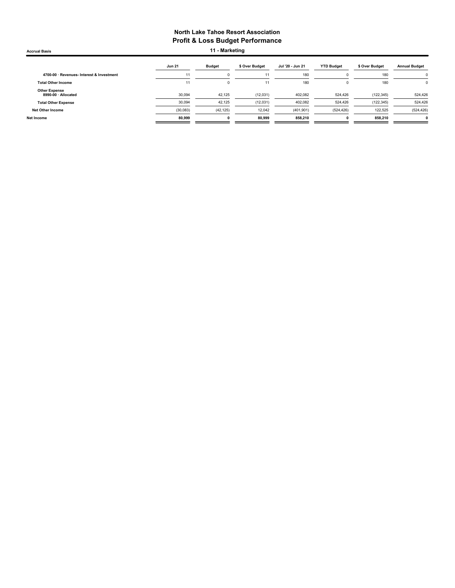Accrual Basis **11 - Marketing** 

|                                             | <b>Jun 21</b> | <b>Budget</b> | \$ Over Budget | Jul '20 - Jun 21 | <b>YTD Budget</b> | \$ Over Budget | <b>Annual Budget</b> |
|---------------------------------------------|---------------|---------------|----------------|------------------|-------------------|----------------|----------------------|
| 4700-00 · Revenues- Interest & Investment   | 11            | 0             | 11             | 180              |                   | 180            |                      |
| <b>Total Other Income</b>                   | 11            | 0             | 11             | 180              |                   | 180            | 0                    |
| <b>Other Expense</b><br>8990-00 · Allocated | 30,094        | 42,125        | (12,031)       | 402,082          | 524,426           | (122, 345)     | 524,426              |
| <b>Total Other Expense</b>                  | 30,094        | 42,125        | (12,031)       | 402,082          | 524,426           | (122, 345)     | 524,426              |
| <b>Net Other Income</b>                     | (30,083)      | (42, 125)     | 12,042         | (401, 901)       | (524, 426)        | 122.525        | (524, 426)           |
| Net Income                                  | 80,999        | 0             | 80,999         | 858,210          | u                 | 858.210        |                      |
|                                             |               |               |                |                  |                   |                |                      |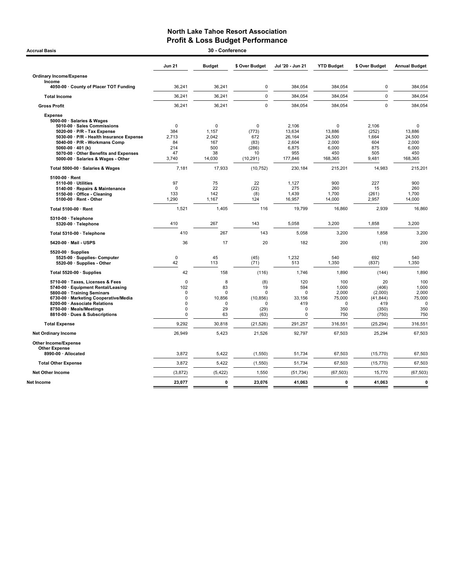## North Lake Tahoe Resort Association **Profit & Loss Budget Performance**<br>30 - Conference

| <b>Accrual Basis</b>                                                                                                                                                                                                                                                                            |                                                                                  | 30 - Conference                                             |                                                                 |                                                                       |                                                                     |                                                              |                                                                     |
|-------------------------------------------------------------------------------------------------------------------------------------------------------------------------------------------------------------------------------------------------------------------------------------------------|----------------------------------------------------------------------------------|-------------------------------------------------------------|-----------------------------------------------------------------|-----------------------------------------------------------------------|---------------------------------------------------------------------|--------------------------------------------------------------|---------------------------------------------------------------------|
|                                                                                                                                                                                                                                                                                                 | <b>Jun 21</b>                                                                    | <b>Budget</b>                                               | \$ Over Budget                                                  | Jul '20 - Jun 21                                                      | <b>YTD Budget</b>                                                   | \$ Over Budget                                               | <b>Annual Budget</b>                                                |
| <b>Ordinary Income/Expense</b><br>Income                                                                                                                                                                                                                                                        |                                                                                  |                                                             |                                                                 |                                                                       |                                                                     |                                                              |                                                                     |
| 4050-00 · County of Placer TOT Funding                                                                                                                                                                                                                                                          | 36,241                                                                           | 36,241                                                      | $\pmb{0}$                                                       | 384,054                                                               | 384,054                                                             | $\mathbf 0$                                                  | 384,054                                                             |
| <b>Total Income</b>                                                                                                                                                                                                                                                                             | 36,241                                                                           | 36,241                                                      | $\mathbf 0$                                                     | 384,054                                                               | 384,054                                                             | $\mathbf 0$                                                  | 384,054                                                             |
| <b>Gross Profit</b>                                                                                                                                                                                                                                                                             | 36,241                                                                           | 36,241                                                      | $\Omega$                                                        | 384,054                                                               | 384,054                                                             | $\Omega$                                                     | 384,054                                                             |
| <b>Expense</b><br>5000-00 · Salaries & Wages<br>5010-00 · Sales Commissions<br>5020-00 · P/R - Tax Expense<br>5030-00 · P/R - Health Insurance Expense<br>5040-00 · P/R - Workmans Comp<br>5060-00 $\cdot$ 401 (k)<br>5070-00 Other Benefits and Expenses<br>5000-00 · Salaries & Wages - Other | $\mathbf 0$<br>384<br>2.713<br>84<br>214<br>47<br>3,740                          | $\mathbf 0$<br>1,157<br>2.042<br>167<br>500<br>38<br>14,030 | $\mathbf 0$<br>(773)<br>672<br>(83)<br>(286)<br>10<br>(10, 291) | 2,106<br>13,634<br>26.164<br>2,604<br>6,875<br>955<br>177,846         | $\mathbf 0$<br>13,886<br>24.500<br>2,000<br>6,000<br>450<br>168,365 | 2,106<br>(252)<br>1.664<br>604<br>875<br>505<br>9,481        | $\mathbf 0$<br>13,886<br>24.500<br>2,000<br>6,000<br>450<br>168,365 |
| Total 5000-00 · Salaries & Wages                                                                                                                                                                                                                                                                | 7.181                                                                            | 17,933                                                      | (10, 752)                                                       | 230.184                                                               | 215.201                                                             | 14.983                                                       | 215.201                                                             |
| 5100-00 $\cdot$ Rent<br>$5110-00 \cdot$ Utilities<br>5140-00 · Repairs & Maintenance<br>5150-00 · Office - Cleaning<br>5100-00 · Rent - Other                                                                                                                                                   | 97<br>$\Omega$<br>133<br>1,290                                                   | 75<br>22<br>142<br>1,167                                    | 22<br>(22)<br>(8)<br>124                                        | 1,127<br>275<br>1,439<br>16,957                                       | 900<br>260<br>1,700<br>14,000                                       | 227<br>15<br>(261)<br>2,957                                  | 900<br>260<br>1,700<br>14,000                                       |
| Total 5100-00 · Rent                                                                                                                                                                                                                                                                            | 1,521                                                                            | 1,405                                                       | 116                                                             | 19,799                                                                | 16,860                                                              | 2,939                                                        | 16,860                                                              |
| 5310-00 · Telephone<br>5320-00 · Telephone                                                                                                                                                                                                                                                      | 410                                                                              | 267                                                         | 143                                                             | 5,058                                                                 | 3,200                                                               | 1,858                                                        | 3,200                                                               |
| Total 5310-00 · Telephone                                                                                                                                                                                                                                                                       | 410                                                                              | 267                                                         | 143                                                             | 5,058                                                                 | 3,200                                                               | 1,858                                                        | 3,200                                                               |
| 5420-00 Mail USPS                                                                                                                                                                                                                                                                               | 36                                                                               | 17                                                          | 20                                                              | 182                                                                   | 200                                                                 | (18)                                                         | 200                                                                 |
| $5520-00 \cdot$ Supplies<br>5525-00 · Supplies- Computer<br>5520-00 · Supplies - Other                                                                                                                                                                                                          | $\mathbf 0$<br>42                                                                | 45<br>113                                                   | (45)<br>(71)                                                    | 1,232<br>513                                                          | 540<br>1,350                                                        | 692<br>(837)                                                 | 540<br>1,350                                                        |
| Total 5520-00 · Supplies                                                                                                                                                                                                                                                                        | 42                                                                               | 158                                                         | (116)                                                           | 1,746                                                                 | 1.890                                                               | (144)                                                        | 1,890                                                               |
| 5710-00 · Taxes, Licenses & Fees<br>5740-00 · Equipment Rental/Leasing<br>5800-00 · Training Seminars<br>6730-00 · Marketing Cooperative/Media<br>8200-00 · Associate Relations<br>8750-00 · Meals/Meetings<br>8810-00 · Dues & Subscriptions                                                   | $\Omega$<br>102<br>$\mathbf 0$<br>$\mathbf 0$<br>0<br>$\mathbf 0$<br>$\mathbf 0$ | 8<br>83<br>$\mathbf 0$<br>10,856<br>$\mathbf 0$<br>29<br>63 | (8)<br>19<br>$\Omega$<br>(10, 856)<br>$\Omega$<br>(29)<br>(63)  | 120<br>594<br>$\Omega$<br>33,156<br>419<br>$\mathbf 0$<br>$\mathbf 0$ | 100<br>1.000<br>2,000<br>75,000<br>0<br>350<br>750                  | 20<br>(406)<br>(2,000)<br>(41, 844)<br>419<br>(350)<br>(750) | 100<br>1.000<br>2,000<br>75,000<br>$\Omega$<br>350<br>750           |
| <b>Total Expense</b>                                                                                                                                                                                                                                                                            | 9,292                                                                            | 30,818                                                      | (21, 526)                                                       | 291,257                                                               | 316,551                                                             | (25, 294)                                                    | 316,551                                                             |
| <b>Net Ordinary Income</b>                                                                                                                                                                                                                                                                      | 26,949                                                                           | 5,423                                                       | 21,526                                                          | 92,797                                                                | 67,503                                                              | 25,294                                                       | 67,503                                                              |
| Other Income/Expense<br><b>Other Expense</b><br>8990-00 · Allocated                                                                                                                                                                                                                             | 3,872                                                                            | 5,422                                                       | (1, 550)                                                        | 51,734                                                                | 67,503                                                              | (15, 770)                                                    | 67,503                                                              |
| <b>Total Other Expense</b>                                                                                                                                                                                                                                                                      | 3,872                                                                            | 5,422                                                       | (1, 550)                                                        | 51,734                                                                | 67,503                                                              | (15, 770)                                                    | 67,503                                                              |
| <b>Net Other Income</b>                                                                                                                                                                                                                                                                         | (3, 872)                                                                         | (5, 422)                                                    | 1,550                                                           | (51, 734)                                                             | (67, 503)                                                           | 15,770                                                       | (67, 503)                                                           |
| <b>Net Income</b>                                                                                                                                                                                                                                                                               |                                                                                  | $\mathbf{0}$                                                |                                                                 |                                                                       | 0                                                                   |                                                              | $\mathbf 0$                                                         |
|                                                                                                                                                                                                                                                                                                 | 23,077                                                                           |                                                             | 23,076                                                          | 41,063                                                                |                                                                     | 41,063                                                       |                                                                     |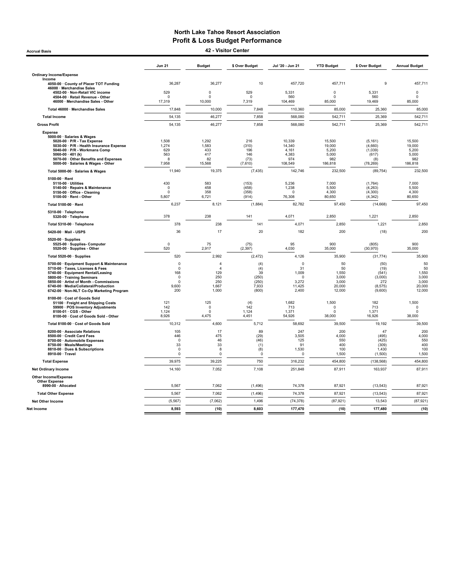Accrual Basis 42 - Visitor Center

|                                                                                                                                                                                                                                                                                     | <b>Jun 21</b>                                                         | <b>Budget</b>                                                     | \$ Over Budget                                       | Jul '20 - Jun 21                                                   | <b>YTD Budget</b>                                       | \$ Over Budget                                                 | <b>Annual Budget</b>                                    |
|-------------------------------------------------------------------------------------------------------------------------------------------------------------------------------------------------------------------------------------------------------------------------------------|-----------------------------------------------------------------------|-------------------------------------------------------------------|------------------------------------------------------|--------------------------------------------------------------------|---------------------------------------------------------|----------------------------------------------------------------|---------------------------------------------------------|
| <b>Ordinary Income/Expense</b>                                                                                                                                                                                                                                                      |                                                                       |                                                                   |                                                      |                                                                    |                                                         |                                                                |                                                         |
| Income<br>4050-00 · County of Placer TOT Funding                                                                                                                                                                                                                                    | 36,287                                                                | 36,277                                                            | 10                                                   | 457,720                                                            | 457,711                                                 | $\mathbf{Q}$                                                   | 457,711                                                 |
| 46000 · Merchandise Sales<br>4502-00 · Non-Retail VIC income                                                                                                                                                                                                                        | 529                                                                   | $\pmb{0}$                                                         | 529                                                  | 5,331                                                              | $\mathbf 0$                                             | 5,331                                                          | $\pmb{0}$                                               |
| 4504-00 · Retail Revenue - Other                                                                                                                                                                                                                                                    |                                                                       | 0                                                                 | $\mathsf 0$                                          | 560                                                                | $\Omega$                                                | 560                                                            | 0                                                       |
| 46000 · Merchandise Sales - Other                                                                                                                                                                                                                                                   | 17,319                                                                | 10,000                                                            | 7,319                                                | 104,469                                                            | 85,000                                                  | 19,469                                                         | 85,000                                                  |
| Total 46000 · Merchandise Sales                                                                                                                                                                                                                                                     | 17,848                                                                | 10,000                                                            | 7,848                                                | 110,360                                                            | 85,000                                                  | 25,360                                                         | 85,000                                                  |
| <b>Total Income</b>                                                                                                                                                                                                                                                                 | 54,135                                                                | 46,277                                                            | 7,858                                                | 568,080                                                            | 542,711                                                 | 25,369                                                         | 542,711                                                 |
| <b>Gross Profit</b>                                                                                                                                                                                                                                                                 | 54,135                                                                | 46,277                                                            | 7,858                                                | 568,080                                                            | 542,711                                                 | 25,369                                                         | 542,711                                                 |
| <b>Expense</b><br>5000-00 · Salaries & Wages<br>5020-00 · P/R - Tax Expense<br>5030-00 · P/R - Health Insurance Expense<br>5040-00 · P/R - Workmans Comp<br>5060-00 $\cdot$ 401 (k)<br>5070-00 Other Benefits and Expenses<br>5000-00 · Salaries & Wages - Other                    | 1,508<br>1,274<br>629<br>563<br>8<br>7,958                            | 1,292<br>1,583<br>433<br>417<br>82<br>15,568                      | 216<br>(310)<br>196<br>146<br>(73)<br>(7,610)        | 10,339<br>14,340<br>4.161<br>4,383<br>974<br>108,549               | 15,500<br>19,000<br>5.200<br>5,000<br>982<br>186,818    | (5, 161)<br>(4,660)<br>(1,039)<br>(617)<br>(8)<br>(78, 269)    | 15,500<br>19,000<br>5.200<br>5,000<br>982<br>186,818    |
| Total 5000-00 · Salaries & Wages                                                                                                                                                                                                                                                    | 11,940                                                                | 19,375                                                            | (7, 435)                                             | 142,746                                                            | 232,500                                                 | (89, 754)                                                      | 232,500                                                 |
| 5100-00 $\cdot$ Rent<br>5110-00 · Utilities<br>5140-00 · Repairs & Maintenance<br>5150-00 · Office - Cleaning<br>5100-00 · Rent - Other                                                                                                                                             | 430<br>$\Omega$<br>n<br>5,807                                         | 583<br>458<br>358<br>6,721                                        | (153)<br>(458)<br>(358)<br>(914)                     | 5,236<br>1,238<br>$\Omega$<br>76,308                               | 7,000<br>5,500<br>4,300<br>80,650                       | (1,764)<br>(4, 263)<br>(4, 300)<br>(4, 342)                    | 7,000<br>5,500<br>4,300<br>80,650                       |
| Total 5100-00 · Rent                                                                                                                                                                                                                                                                | 6,237                                                                 | 8,121                                                             | (1,884)                                              | 82,782                                                             | 97,450                                                  | (14, 668)                                                      | 97,450                                                  |
| 5310-00 · Telephone<br>5320-00 · Telephone                                                                                                                                                                                                                                          | 378                                                                   | 238                                                               | 141                                                  | 4,071                                                              | 2,850                                                   | 1,221                                                          | 2,850                                                   |
| Total 5310-00 · Telephone                                                                                                                                                                                                                                                           | 378                                                                   | 238                                                               | 141                                                  | 4,071                                                              | 2.850                                                   | 1,221                                                          | 2,850                                                   |
| 5420-00 · Mail - USPS                                                                                                                                                                                                                                                               | 36                                                                    | 17                                                                | 20                                                   | 182                                                                | 200                                                     | (18)                                                           | 200                                                     |
| $5520-00 \cdot$ Supplies<br>5525-00 · Supplies- Computer<br>5520-00 · Supplies - Other                                                                                                                                                                                              | $\mathbf 0$<br>520                                                    | 75<br>2,917                                                       | (75)<br>(2, 397)                                     | 95<br>4,030                                                        | 900<br>35,000                                           | (805)<br>(30, 970)                                             | 900<br>35,000                                           |
| Total 5520-00 · Supplies                                                                                                                                                                                                                                                            | 520                                                                   | 2,992                                                             | (2, 472)                                             | 4,126                                                              | 35,900                                                  | (31, 774)                                                      | 35,900                                                  |
| 5700-00 · Equipment Support & Maintenance<br>5710-00 · Taxes. Licenses & Fees<br>5740-00 · Equipment Rental/Leasing<br>5800-00 · Training Seminars<br>5850-00 · Artist of Month - Commissions<br>6740-00 · Media/Collateral/Production<br>6742-00 · Non-NLT Co-Op Marketing Program | $\Omega$<br>$\mathbf 0$<br>168<br>$\circ$<br>$\Omega$<br>9,600<br>200 | $\overline{4}$<br>$\Delta$<br>129<br>250<br>250<br>1,667<br>1,000 | (4)<br>(4)<br>39<br>(250)<br>(250)<br>7,933<br>(800) | $\mathbf 0$<br>31<br>1,009<br>$\Omega$<br>3,272<br>11,425<br>2,400 | 50<br>50<br>1,550<br>3,000<br>3,000<br>20,000<br>12,000 | (50)<br>(19)<br>(541)<br>(3,000)<br>272<br>(8, 575)<br>(9,600) | 50<br>50<br>1,550<br>3,000<br>3,000<br>20,000<br>12,000 |
| 8100-00 · Cost of Goods Sold<br>51100 · Freight and Shipping Costs<br>59900 · POS Inventory Adjustments<br>8100-01 · CGS - Other<br>8100-00 · Cost of Goods Sold - Other                                                                                                            | 121<br>142<br>1.124<br>8,926                                          | 125<br>0<br>$\mathbf 0$<br>4,475                                  | (4)<br>142<br>1.124<br>4,451                         | 1,682<br>713<br>1.371<br>54,926                                    | 1,500<br>$\Omega$<br>$\Omega$<br>38,000                 | 182<br>713<br>1.371<br>16,926                                  | 1,500<br>$\Omega$<br>$\mathbf 0$<br>38,000              |
| Total 8100-00 · Cost of Goods Sold                                                                                                                                                                                                                                                  | 10,312                                                                | 4,600                                                             | 5,712                                                | 58,692                                                             | 39,500                                                  | 19,192                                                         | 39,500                                                  |
| 8200-00 · Associate Relations<br>8500-00 Credit Card Fees<br>8700-00 · Automobile Expenses<br>8750-00 · Meals/Meetings<br>8810-00 · Dues & Subscriptions<br>8910-00 · Travel                                                                                                        | 105<br>446<br>$\Omega$<br>33<br>$\mathbf 0$<br>$\circ$                | 17<br>475<br>46<br>33<br>8<br>$\pmb{0}$                           | 89<br>(29)<br>(46)<br>(1)<br>(8)<br>$^{\circ}$       | 247<br>3,505<br>125<br>91<br>1,530<br>$\circ$                      | 200<br>4,000<br>550<br>400<br>100<br>1,500              | 47<br>(495)<br>(425)<br>(309)<br>1,430<br>(1,500)              | 200<br>4,000<br>550<br>400<br>100<br>1,500              |
| <b>Total Expense</b>                                                                                                                                                                                                                                                                | 39,975                                                                | 39,225                                                            | 750                                                  | 316,232                                                            | 454,800                                                 | (138, 568)                                                     | 454,800                                                 |
| <b>Net Ordinary Income</b>                                                                                                                                                                                                                                                          | 14,160                                                                | 7,052                                                             | 7,108                                                | 251,848                                                            | 87,911                                                  | 163,937                                                        | 87,911                                                  |
| <b>Other Income/Expense</b><br><b>Other Expense</b><br>8990-00 · Allocated                                                                                                                                                                                                          | 5,567                                                                 | 7,062                                                             | (1, 496)                                             | 74,378                                                             | 87,921                                                  | (13, 543)                                                      | 87,921                                                  |
| <b>Total Other Expense</b>                                                                                                                                                                                                                                                          | 5,567                                                                 | 7,062                                                             | (1, 496)                                             | 74,378                                                             | 87,921                                                  | (13, 543)                                                      | 87,921                                                  |
| <b>Net Other Income</b>                                                                                                                                                                                                                                                             | (5, 567)                                                              | (7,062)                                                           | 1,496                                                | (74, 378)                                                          | (87, 921)                                               | 13.543                                                         | (87, 921)                                               |
| Net Income                                                                                                                                                                                                                                                                          | 8,593                                                                 | (10)                                                              | 8,603                                                | 177,470                                                            | (10)                                                    | 177,480                                                        | (10)                                                    |
|                                                                                                                                                                                                                                                                                     |                                                                       |                                                                   |                                                      |                                                                    |                                                         |                                                                |                                                         |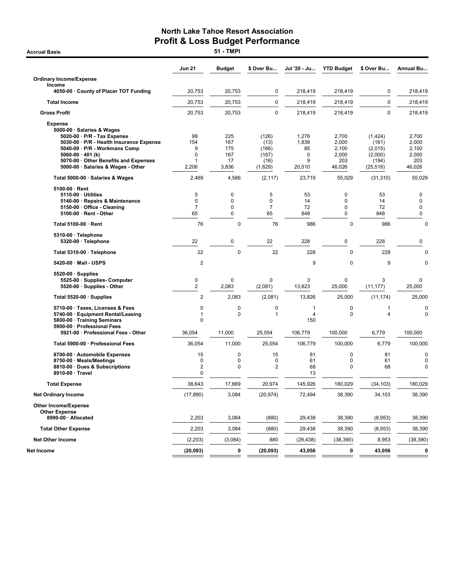|                                                                                                                                                                                                                                                                        | <b>Jun 21</b>                               | <b>Budget</b>                           | \$ Over Bu                                         | Jul '20 - Ju                             | <b>YTD Budget</b>                                    | \$ Over Bu                                                   | Annual Bu                                            |
|------------------------------------------------------------------------------------------------------------------------------------------------------------------------------------------------------------------------------------------------------------------------|---------------------------------------------|-----------------------------------------|----------------------------------------------------|------------------------------------------|------------------------------------------------------|--------------------------------------------------------------|------------------------------------------------------|
| <b>Ordinary Income/Expense</b>                                                                                                                                                                                                                                         |                                             |                                         |                                                    |                                          |                                                      |                                                              |                                                      |
| Income<br>4050-00 County of Placer TOT Funding                                                                                                                                                                                                                         | 20,753                                      | 20,753                                  | 0                                                  | 218,419                                  | 218,419                                              | 0                                                            | 218,419                                              |
| <b>Total Income</b>                                                                                                                                                                                                                                                    | 20,753                                      | 20,753                                  | 0                                                  | 218,419                                  | 218,419                                              | $\mathbf 0$                                                  | 218.419                                              |
| <b>Gross Profit</b>                                                                                                                                                                                                                                                    | 20,753                                      | 20,753                                  | 0                                                  | 218,419                                  | 218,419                                              | 0                                                            | 218,419                                              |
| <b>Expense</b><br>5000-00 · Salaries & Wages<br>$5020-00 \cdot P/R$ - Tax Expense<br>5030-00 · P/R - Health Insurance Expense<br>5040-00 · P/R - Workmans Comp<br>$5060-00 \cdot 401$ (k)<br>5070-00 Other Benefits and Expenses<br>5000-00 · Salaries & Wages - Other | 99<br>154<br>9<br>$\mathbf 0$<br>1<br>2,206 | 225<br>167<br>175<br>167<br>17<br>3,836 | (126)<br>(13)<br>(166)<br>(167)<br>(16)<br>(1,629) | 1,276<br>1,839<br>85<br>0<br>9<br>20,510 | 2,700<br>2,000<br>2,100<br>2,000<br>203<br>46,026    | (1,424)<br>(161)<br>(2,015)<br>(2,000)<br>(194)<br>(25, 516) | 2,700<br>2,000<br>2,100<br>2,000<br>203<br>46,026    |
| Total 5000-00 · Salaries & Wages                                                                                                                                                                                                                                       | 2,469                                       | 4,586                                   | (2, 117)                                           | 23,719                                   | 55,029                                               | (31, 310)                                                    | 55,029                                               |
| 5100-00 · Rent<br>5110-00 Utilities<br>5140-00 · Repairs & Maintenance<br>5150-00 · Office - Cleaning<br>5100-00 · Rent - Other                                                                                                                                        | 5<br>$\mathbf 0$<br>$\overline{7}$<br>65    | 0<br>0<br>0<br>0                        | 5<br>$\mathbf 0$<br>$\overline{7}$<br>65           | 53<br>14<br>72<br>848                    | $\pmb{0}$<br>$\pmb{0}$<br>$\mathbf 0$<br>$\mathbf 0$ | 53<br>14<br>72<br>848                                        | $\mathbf 0$<br>$\pmb{0}$<br>$\mathbf 0$<br>$\pmb{0}$ |
| Total 5100-00 · Rent                                                                                                                                                                                                                                                   | 76                                          | 0                                       | 76                                                 | 986                                      | 0                                                    | 986                                                          | $\mathbf 0$                                          |
| 5310-00 · Telephone<br>5320-00 · Telephone                                                                                                                                                                                                                             | 22                                          | 0                                       | 22                                                 | 228                                      | $\mathbf 0$                                          | 228                                                          | $\pmb{0}$                                            |
| Total 5310-00 · Telephone                                                                                                                                                                                                                                              | 22                                          | $\mathbf 0$                             | 22                                                 | 228                                      | $\mathbf 0$                                          | 228                                                          | $\mathbf 0$                                          |
| 5420-00 · Mail - USPS                                                                                                                                                                                                                                                  | $\overline{\mathbf{c}}$                     |                                         |                                                    | 9                                        | $\mathbf 0$                                          | 9                                                            | 0                                                    |
| $5520-00 \cdot$ Supplies<br>5525-00 · Supplies- Computer<br>5520-00 · Supplies - Other                                                                                                                                                                                 | 0<br>$\overline{2}$                         | 0<br>2,083                              | 0<br>(2,081)                                       | 3<br>13,823                              | $\mathbf 0$<br>25,000                                | 3<br>(11, 177)                                               | $\mathbf 0$<br>25,000                                |
| Total 5520-00 $\cdot$ Supplies                                                                                                                                                                                                                                         | 2                                           | 2,083                                   | (2,081)                                            | 13,826                                   | 25,000                                               | (11, 174)                                                    | 25,000                                               |
| 5710-00 · Taxes, Licenses & Fees<br>5740-00 · Equipment Rental/Leasing<br>5800-00 · Training Seminars<br>5900-00 · Professional Fees                                                                                                                                   | $\mathbf 0$<br>1<br>0                       | 0<br>0                                  | 0<br>1                                             | $\mathbf{1}$<br>$\overline{4}$<br>150    | 0<br>$\mathbf 0$                                     | 1<br>$\overline{4}$                                          | 0<br>$\mathbf 0$                                     |
| 5921-00 · Professional Fees - Other                                                                                                                                                                                                                                    | 36,054                                      | 11,000                                  | 25,054                                             | 106,779                                  | 100,000                                              | 6,779                                                        | 100,000                                              |
| Total 5900-00 · Professional Fees                                                                                                                                                                                                                                      | 36,054                                      | 11,000                                  | 25,054                                             | 106,779                                  | 100,000                                              | 6,779                                                        | 100,000                                              |
| 8700-00 · Automobile Expenses<br>8750-00 · Meals/Meetings<br>8810-00 · Dues & Subscriptions<br>8910-00 · Travel                                                                                                                                                        | 15<br>0<br>2<br>0                           | 0<br>0<br>0                             | 15<br>0<br>2                                       | 81<br>61<br>68<br>13                     | $\mathbf 0$<br>0<br>$\mathbf 0$                      | 81<br>61<br>68                                               | $\mathbf 0$<br>0<br>$\mathbf 0$                      |
| <b>Total Expense</b>                                                                                                                                                                                                                                                   | 38,643                                      | 17,669                                  | 20,974                                             | 145,926                                  | 180,029                                              | (34, 103)                                                    | 180,029                                              |
| <b>Net Ordinary Income</b>                                                                                                                                                                                                                                             | (17, 890)                                   | 3,084                                   | (20, 974)                                          | 72,494                                   | 38,390                                               | 34,103                                                       | 38,390                                               |
| <b>Other Income/Expense</b><br><b>Other Expense</b>                                                                                                                                                                                                                    |                                             |                                         |                                                    |                                          |                                                      |                                                              |                                                      |
| 8990-00 · Allocated                                                                                                                                                                                                                                                    | 2,203                                       | 3,084                                   | (880)                                              | 29,438                                   | 38,390                                               | (8,953)                                                      | 38,390                                               |
| <b>Total Other Expense</b>                                                                                                                                                                                                                                             | 2,203                                       | 3,084                                   | (880)                                              | 29,438                                   | 38,390                                               | (8,953)                                                      | 38,390                                               |
| <b>Net Other Income</b>                                                                                                                                                                                                                                                | (2,203)                                     | (3,084)                                 | 880                                                | (29, 438)                                | (38, 390)                                            | 8,953                                                        | (38, 390)                                            |
| Net Income                                                                                                                                                                                                                                                             | (20, 093)                                   | 0                                       | (20, 093)                                          | 43,056                                   | 0                                                    | 43,056                                                       | 0                                                    |

**Accrual Basis**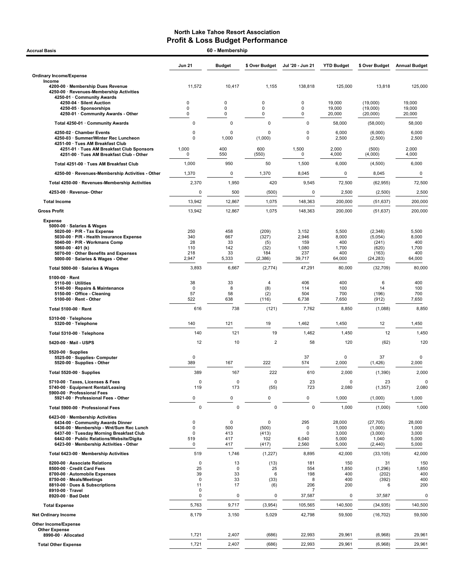| <b>Accrual Basis</b>                                                                                                                                                                                                                               |                                              | 60 - Membership                                  |                                     |                                              |                                                |                                                      |                                            |  |  |
|----------------------------------------------------------------------------------------------------------------------------------------------------------------------------------------------------------------------------------------------------|----------------------------------------------|--------------------------------------------------|-------------------------------------|----------------------------------------------|------------------------------------------------|------------------------------------------------------|--------------------------------------------|--|--|
|                                                                                                                                                                                                                                                    | <b>Jun 21</b>                                | <b>Budget</b>                                    | \$ Over Budget                      | Jul '20 - Jun 21                             | <b>YTD Budget</b>                              | \$ Over Budget                                       | <b>Annual Budget</b>                       |  |  |
| <b>Ordinary Income/Expense</b>                                                                                                                                                                                                                     |                                              |                                                  |                                     |                                              |                                                |                                                      |                                            |  |  |
| Income<br>4200-00 · Membership Dues Revenue<br>4250-00 · Revenues-Membership Activities<br>4250-01 · Community Awards                                                                                                                              | 11,572                                       | 10,417                                           | 1,155                               | 138,818                                      | 125,000                                        | 13,818                                               | 125,000                                    |  |  |
| 4250-04 · Silent Auction<br>4250-05 · Sponsorships                                                                                                                                                                                                 | 0<br>$\mathbf 0$                             | 0<br>0                                           | 0<br>0                              | 0<br>$\mathsf 0$                             | 19,000<br>19,000                               | (19,000)<br>(19,000)                                 | 19,000<br>19,000                           |  |  |
| 4250-01 · Community Awards - Other                                                                                                                                                                                                                 | $\mathbf 0$                                  | 0                                                | 0                                   | 0                                            | 20,000                                         | (20,000)                                             | 20,000                                     |  |  |
| Total 4250-01 · Community Awards                                                                                                                                                                                                                   | 0                                            | $\mathbf 0$                                      | 0                                   | $\mathbf 0$                                  | 58,000                                         | (58,000)                                             | 58,000                                     |  |  |
| 4250-02 · Chamber Events<br>4250-03 · Summer/Winter Rec Luncheon<br>4251-00 · Tues AM Breakfast Club                                                                                                                                               | 0<br>0                                       | $\Omega$<br>1,000                                | 0<br>(1,000)                        | $\mathbf 0$<br>0                             | 6,000<br>2,500                                 | (6,000)<br>(2,500)                                   | 6,000<br>2,500                             |  |  |
| 4251-01 · Tues AM Breakfast Club Sponsors<br>4251-00 · Tues AM Breakfast Club - Other                                                                                                                                                              | 1,000<br>$\Omega$                            | 400<br>550                                       | 600<br>(550)                        | 1,500<br>0                                   | 2,000<br>4,000                                 | (500)<br>(4,000)                                     | 2,000<br>4,000                             |  |  |
| Total 4251-00 · Tues AM Breakfast Club                                                                                                                                                                                                             | 1,000                                        | 950                                              | 50                                  | 1,500                                        | 6,000                                          | (4,500)                                              | 6,000                                      |  |  |
| 4250-00 · Revenues-Membership Activities - Other                                                                                                                                                                                                   | 1,370                                        | 0                                                | 1,370                               | 8,045                                        | 0                                              | 8,045                                                | 0                                          |  |  |
| Total 4250-00 · Revenues-Membership Activities                                                                                                                                                                                                     | 2,370                                        | 1,950                                            | 420                                 | 9,545                                        | 72,500                                         | (62, 955)                                            | 72,500                                     |  |  |
| 4253-00 · Revenue-Other                                                                                                                                                                                                                            | 0                                            | 500                                              | (500)                               | 0                                            | 2,500                                          | (2,500)                                              | 2,500                                      |  |  |
| <b>Total Income</b>                                                                                                                                                                                                                                | 13,942                                       | 12,867                                           | 1,075                               | 148,363                                      | 200,000                                        | (51, 637)                                            | 200,000                                    |  |  |
| <b>Gross Profit</b>                                                                                                                                                                                                                                | 13,942                                       | 12,867                                           | 1,075                               | 148,363                                      | 200,000                                        | (51, 637)                                            | 200.000                                    |  |  |
| <b>Expense</b><br>5000-00 · Salaries & Wages<br>5020-00 · P/R - Tax Expense<br>5030-00 · P/R - Health Insurance Expense<br>5040-00 · P/R - Workmans Comp<br>5060-00 $\cdot$ 401 (k)                                                                | 250<br>340<br>28<br>110                      | 458<br>667<br>33<br>142                          | (209)<br>(327)<br>(5)<br>(32)       | 3,152<br>2,946<br>159<br>1,080               | 5,500<br>8,000<br>400<br>1,700                 | (2,348)<br>(5,054)<br>(241)<br>(620)                 | 5,500<br>8,000<br>400<br>1,700             |  |  |
| 5070-00 Other Benefits and Expenses<br>5000-00 · Salaries & Wages - Other                                                                                                                                                                          | 218<br>2,947                                 | 33<br>5,333                                      | 184<br>(2,386)                      | 237<br>39,717                                | 400<br>64,000                                  | (163)<br>(24, 283)                                   | 400<br>64,000                              |  |  |
| Total 5000-00 · Salaries & Wages                                                                                                                                                                                                                   | 3,893                                        | 6,667                                            | (2, 774)                            | 47,291                                       | 80,000                                         | (32,709)                                             | 80,000                                     |  |  |
| $5100-00 \cdot$ Rent<br>$5110-00 \cdot$ Utilities<br>5140-00 · Repairs & Maintenance<br>5150-00 · Office - Cleaning<br>5100-00 · Rent - Other                                                                                                      | 38<br>0<br>57<br>522                         | 33<br>8<br>58<br>638                             | 4<br>(8)<br>(2)<br>(116)            | 406<br>114<br>504<br>6,738                   | 400<br>100<br>700<br>7,650                     | 6<br>14<br>(196)<br>(912)                            | 400<br>100<br>700<br>7,650                 |  |  |
| Total 5100-00 · Rent                                                                                                                                                                                                                               | 616                                          | 738                                              | (121)                               | 7,762                                        | 8,850                                          | (1,088)                                              | 8,850                                      |  |  |
| 5310-00 · Telephone                                                                                                                                                                                                                                |                                              |                                                  |                                     |                                              |                                                |                                                      |                                            |  |  |
| 5320-00 · Telephone                                                                                                                                                                                                                                | 140                                          | 121                                              | 19                                  | 1,462                                        | 1,450                                          | 12                                                   | 1,450                                      |  |  |
| Total 5310-00 · Telephone                                                                                                                                                                                                                          | 140                                          | 121                                              | 19                                  | 1,462                                        | 1,450                                          | 12                                                   | 1,450                                      |  |  |
| 5420-00 Mail USPS                                                                                                                                                                                                                                  | 12                                           | 10                                               | $\overline{\mathbf{c}}$             | 58                                           | 120                                            | (62)                                                 | 120                                        |  |  |
| $5520-00 \cdot$ Supplies<br>5525-00 · Supplies-Computer<br>5520-00 · Supplies - Other                                                                                                                                                              | 0<br>389                                     | 167                                              | 222                                 | 37<br>574                                    | 0<br>2,000                                     | 37<br>(1, 426)                                       | 0<br>2,000                                 |  |  |
| Total 5520-00 · Supplies                                                                                                                                                                                                                           | 389                                          | 167                                              | 222                                 | 610                                          | 2,000                                          | (1, 390)                                             | 2,000                                      |  |  |
| 5710-00 · Taxes, Licenses & Fees<br>5740-00 · Equipment Rental/Leasing<br>5900-00 · Professional Fees                                                                                                                                              | 0<br>119                                     | 0<br>173                                         | $\mathsf 0$<br>(55)                 | 23<br>723                                    | $\mathbf 0$<br>2,080                           | 23<br>(1, 357)                                       | 0<br>2,080                                 |  |  |
| 5921-00 · Professional Fees - Other                                                                                                                                                                                                                | 0                                            | 0                                                | $\pmb{0}$                           | $\mathsf 0$                                  | 1,000                                          | (1,000)                                              | 1,000                                      |  |  |
| Total 5900-00 · Professional Fees                                                                                                                                                                                                                  | $\mathbf 0$                                  | 0                                                | $\pmb{0}$                           | $\mathbf 0$                                  | 1,000                                          | (1,000)                                              | 1,000                                      |  |  |
| 6423-00 · Membership Activities<br>6434-00 Community Awards Dinner<br>6436-00 · Membership - Wnt/Sum Rec Lunch<br>6437-00 · Tuesday Morning Breakfast Club<br>6442-00 · Public Relations/Website/Digita<br>6423-00 · Membership Activities - Other | 0<br>$\mathbf 0$<br>0<br>519<br>0            | $\mathbf 0$<br>500<br>413<br>417<br>417          | 0<br>(500)<br>(413)<br>102<br>(417) | 295<br>0<br>0<br>6,040<br>2,560              | 28,000<br>1,000<br>3,000<br>5,000<br>5,000     | (27, 705)<br>(1,000)<br>(3,000)<br>1,040<br>(2, 440) | 28,000<br>1,000<br>3,000<br>5,000<br>5,000 |  |  |
| Total 6423-00 · Membership Activities                                                                                                                                                                                                              | 519                                          | 1,746                                            | (1, 227)                            | 8,895                                        | 42,000                                         | (33, 105)                                            | 42,000                                     |  |  |
| 8200-00 · Associate Relations<br>8500-00 · Credit Card Fees<br>8700-00 · Automobile Expenses<br>8750-00 · Meals/Meetings<br>8810-00 · Dues & Subscriptions<br>8910-00 · Travel<br>8920-00 · Bad Debt                                               | 0<br>25<br>39<br>$\mathbf 0$<br>11<br>0<br>0 | 13<br>$\mathbf 0$<br>33<br>33<br>17<br>$\pmb{0}$ | (13)<br>25<br>6<br>(33)<br>(6)<br>0 | 181<br>554<br>198<br>8<br>206<br>7<br>37,587 | 150<br>1,850<br>400<br>400<br>200<br>$\pmb{0}$ | 31<br>(1,296)<br>(202)<br>(392)<br>6<br>37,587       | 150<br>1,850<br>400<br>400<br>200<br>0     |  |  |
| <b>Total Expense</b>                                                                                                                                                                                                                               | 5,763                                        | 9,717                                            | (3,954)                             | 105,565                                      | 140,500                                        | (34, 935)                                            | 140,500                                    |  |  |
| <b>Net Ordinary Income</b>                                                                                                                                                                                                                         | 8,179                                        | 3,150                                            | 5,029                               | 42,798                                       | 59,500                                         | (16, 702)                                            | 59,500                                     |  |  |
| Other Income/Expense<br><b>Other Expense</b>                                                                                                                                                                                                       |                                              |                                                  |                                     |                                              |                                                |                                                      |                                            |  |  |
| 8990-00 · Allocated                                                                                                                                                                                                                                | 1,721                                        | 2,407                                            | (686)                               | 22,993                                       | 29,961                                         | (6,968)                                              | 29,961                                     |  |  |
| <b>Total Other Expense</b>                                                                                                                                                                                                                         | 1,721                                        | 2,407                                            | (686)                               | 22,993                                       | 29,961                                         | (6,968)                                              | 29,961                                     |  |  |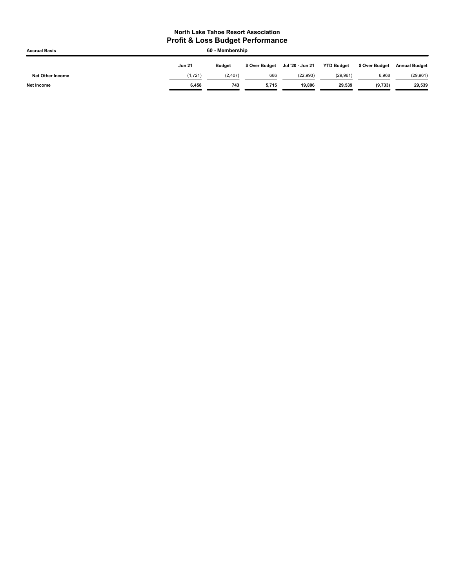| <b>Accrual Basis</b>    | 60 - Membership |               |                |                  |                   |                |                      |  |
|-------------------------|-----------------|---------------|----------------|------------------|-------------------|----------------|----------------------|--|
|                         | <b>Jun 21</b>   | <b>Budget</b> | \$ Over Budget | Jul '20 - Jun 21 | <b>YTD Budget</b> | \$ Over Budget | <b>Annual Budget</b> |  |
| <b>Net Other Income</b> | (1,721)         | (2, 407)      | 686            | (22.993)         | (29,961)          | 6,968          | (29, 961)            |  |
| <b>Net Income</b>       | 6.458           | 743           | 5.715          | 19.806           | 29.539            | (9,733)        | 29,539               |  |